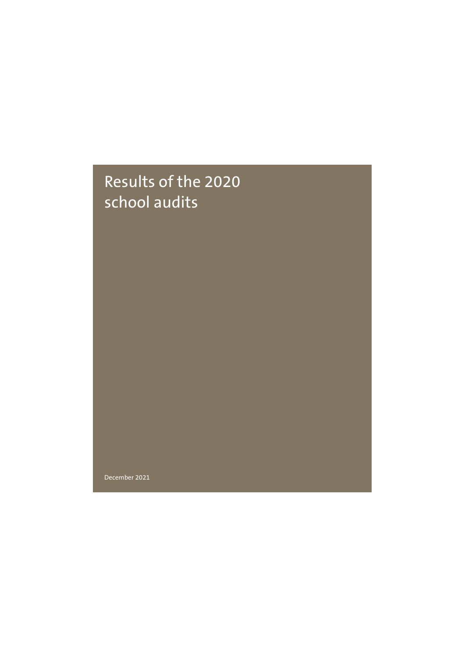### Results of the 2020 school audits

December 2021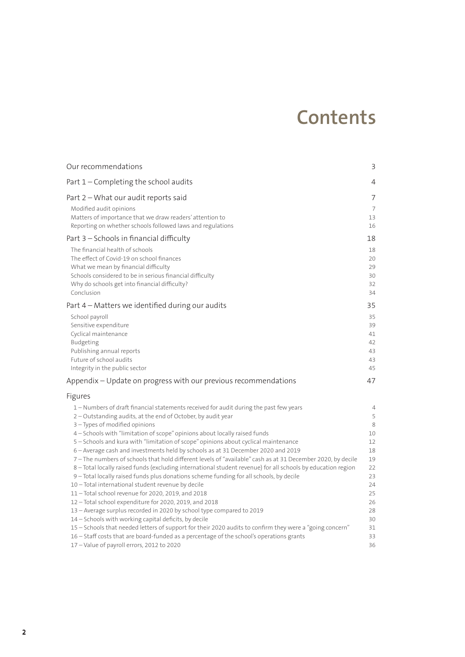### **Contents**

| Our recommendations                                                                                                                                                                                                                                                                                                                                                                                                                                                                                                                                                                                                                                                                                                                                                                                                                                                                                                                                                                                                                                                           | 3                                                                             |
|-------------------------------------------------------------------------------------------------------------------------------------------------------------------------------------------------------------------------------------------------------------------------------------------------------------------------------------------------------------------------------------------------------------------------------------------------------------------------------------------------------------------------------------------------------------------------------------------------------------------------------------------------------------------------------------------------------------------------------------------------------------------------------------------------------------------------------------------------------------------------------------------------------------------------------------------------------------------------------------------------------------------------------------------------------------------------------|-------------------------------------------------------------------------------|
| Part 1 - Completing the school audits                                                                                                                                                                                                                                                                                                                                                                                                                                                                                                                                                                                                                                                                                                                                                                                                                                                                                                                                                                                                                                         | 4                                                                             |
| Part 2 - What our audit reports said                                                                                                                                                                                                                                                                                                                                                                                                                                                                                                                                                                                                                                                                                                                                                                                                                                                                                                                                                                                                                                          | 7                                                                             |
| Modified audit opinions<br>Matters of importance that we draw readers' attention to<br>Reporting on whether schools followed laws and regulations                                                                                                                                                                                                                                                                                                                                                                                                                                                                                                                                                                                                                                                                                                                                                                                                                                                                                                                             | $\overline{7}$<br>13<br>16                                                    |
| Part 3 - Schools in financial difficulty                                                                                                                                                                                                                                                                                                                                                                                                                                                                                                                                                                                                                                                                                                                                                                                                                                                                                                                                                                                                                                      | 18                                                                            |
| The financial health of schools<br>The effect of Covid-19 on school finances<br>What we mean by financial difficulty<br>Schools considered to be in serious financial difficulty<br>Why do schools get into financial difficulty?<br>Conclusion                                                                                                                                                                                                                                                                                                                                                                                                                                                                                                                                                                                                                                                                                                                                                                                                                               | 18<br>20<br>29<br>30<br>32<br>34                                              |
| Part 4 – Matters we identified during our audits                                                                                                                                                                                                                                                                                                                                                                                                                                                                                                                                                                                                                                                                                                                                                                                                                                                                                                                                                                                                                              | 35                                                                            |
| School payroll<br>Sensitive expenditure<br>Cyclical maintenance<br>Budgeting<br>Publishing annual reports<br>Future of school audits<br>Integrity in the public sector                                                                                                                                                                                                                                                                                                                                                                                                                                                                                                                                                                                                                                                                                                                                                                                                                                                                                                        | 35<br>39<br>41<br>42<br>43<br>43<br>45                                        |
| Appendix - Update on progress with our previous recommendations                                                                                                                                                                                                                                                                                                                                                                                                                                                                                                                                                                                                                                                                                                                                                                                                                                                                                                                                                                                                               | 47                                                                            |
| Figures                                                                                                                                                                                                                                                                                                                                                                                                                                                                                                                                                                                                                                                                                                                                                                                                                                                                                                                                                                                                                                                                       |                                                                               |
| 1 - Numbers of draft financial statements received for audit during the past few years<br>2 - Outstanding audits, at the end of October, by audit year<br>3 - Types of modified opinions<br>4 - Schools with "limitation of scope" opinions about locally raised funds<br>5 - Schools and kura with "limitation of scope" opinions about cyclical maintenance<br>6 - Average cash and investments held by schools as at 31 December 2020 and 2019<br>7-The numbers of schools that hold different levels of "available" cash as at 31 December 2020, by decile<br>8 - Total locally raised funds (excluding international student revenue) for all schools by education region<br>9 - Total locally raised funds plus donations scheme funding for all schools, by decile<br>10 - Total international student revenue by decile<br>11-Total school revenue for 2020, 2019, and 2018<br>12-Total school expenditure for 2020, 2019, and 2018<br>13 - Average surplus recorded in 2020 by school type compared to 2019<br>14 - Schools with working capital deficits, by decile | 4<br>5<br>8<br>10<br>12<br>18<br>19<br>22<br>23<br>24<br>25<br>26<br>28<br>30 |
| 15 - Schools that needed letters of support for their 2020 audits to confirm they were a "going concern"<br>16 - Staff costs that are board-funded as a percentage of the school's operations grants<br>17 - Value of payroll errors, 2012 to 2020                                                                                                                                                                                                                                                                                                                                                                                                                                                                                                                                                                                                                                                                                                                                                                                                                            | 31<br>33<br>36                                                                |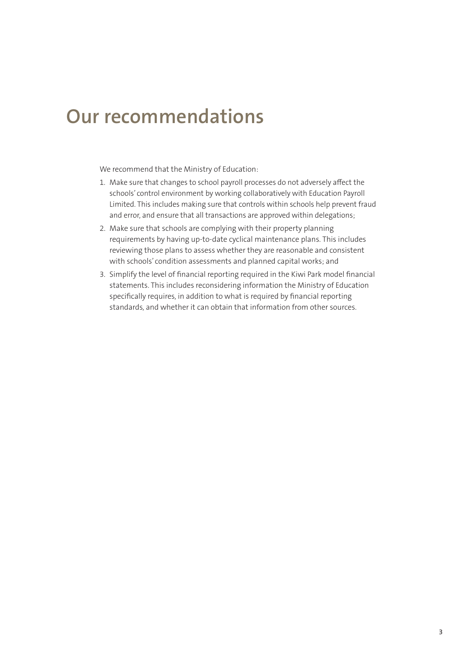### **Our recommendations**

We recommend that the Ministry of Education:

- 1. Make sure that changes to school payroll processes do not adversely affect the schools' control environment by working collaboratively with Education Payroll Limited. This includes making sure that controls within schools help prevent fraud and error, and ensure that all transactions are approved within delegations;
- 2. Make sure that schools are complying with their property planning requirements by having up-to-date cyclical maintenance plans. This includes reviewing those plans to assess whether they are reasonable and consistent with schools' condition assessments and planned capital works; and
- 3. Simplify the level of financial reporting required in the Kiwi Park model financial statements. This includes reconsidering information the Ministry of Education specifically requires, in addition to what is required by financial reporting standards, and whether it can obtain that information from other sources.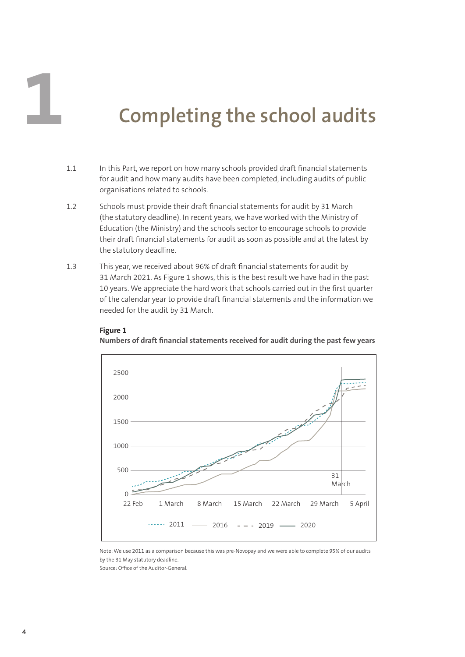# **1 Completing the school audits**

- 1.1 In this Part, we report on how many schools provided draft financial statements for audit and how many audits have been completed, including audits of public organisations related to schools.
- 1.2 Schools must provide their draft financial statements for audit by 31 March (the statutory deadline). In recent years, we have worked with the Ministry of Education (the Ministry) and the schools sector to encourage schools to provide their draft financial statements for audit as soon as possible and at the latest by the statutory deadline.
- 1.3 This year, we received about 96% of draft financial statements for audit by 31 March 2021. As Figure 1 shows, this is the best result we have had in the past 10 years. We appreciate the hard work that schools carried out in the first quarter of the calendar year to provide draft financial statements and the information we needed for the audit by 31 March.

#### **Figure 1**

**Numbers of draft financial statements received for audit during the past few years**



Note: We use 2011 as a comparison because this was pre-Novopay and we were able to complete 95% of our audits by the 31 May statutory deadline.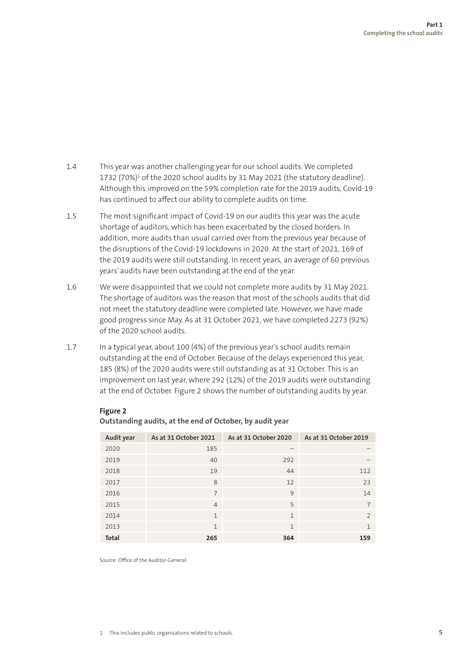- 1.4 This year was another challenging year for our school audits. We completed 1732 (70%)<sup>1</sup> of the 2020 school audits by 31 May 2021 (the statutory deadline). Although this improved on the 59% completion rate for the 2019 audits, Covid-19 has continued to affect our ability to complete audits on time.
- 1.5 The most significant impact of Covid-19 on our audits this year was the acute shortage of auditors, which has been exacerbated by the closed borders. In addition, more audits than usual carried over from the previous year because of the disruptions of the Covid-19 lockdowns in 2020. At the start of 2021, 169 of the 2019 audits were still outstanding. In recent years, an average of 60 previous years' audits have been outstanding at the end of the year.
- 1.6 We were disappointed that we could not complete more audits by 31 May 2021. The shortage of auditors was the reason that most of the schools audits that did not meet the statutory deadline were completed late. However, we have made good progress since May. As at 31 October 2021, we have completed 2273 (92%) of the 2020 school audits.
- 1.7 In a typical year, about 100 (4%) of the previous year's school audits remain outstanding at the end of October. Because of the delays experienced this year, 185 (8%) of the 2020 audits were still outstanding as at 31 October. This is an improvement on last year, where 292 (12%) of the 2019 audits were outstanding at the end of October. Figure 2 shows the number of outstanding audits by year.

| Audit year   | As at 31 October 2021 | As at 31 October 2020 | As at 31 October 2019 |
|--------------|-----------------------|-----------------------|-----------------------|
| 2020         | 185                   |                       |                       |
| 2019         | 40                    | 292                   |                       |
| 2018         | 19                    | 44                    | 112                   |
| 2017         | 8                     | 12                    | 23                    |
| 2016         | 7                     | 9                     | 14                    |
| 2015         | $\overline{4}$        | 5                     | 7                     |
| 2014         | $\mathbf{1}$          | $\mathbf{1}$          | $\mathcal{P}$         |
| 2013         | $\mathbf{1}$          | $\mathbf{1}$          | 1                     |
| <b>Total</b> | 265                   | 364                   | 159                   |

#### **Figure 2**

| Outstanding audits, at the end of October, by audit year |  |  |  |
|----------------------------------------------------------|--|--|--|
|----------------------------------------------------------|--|--|--|

Source: Office of the Auditor-General.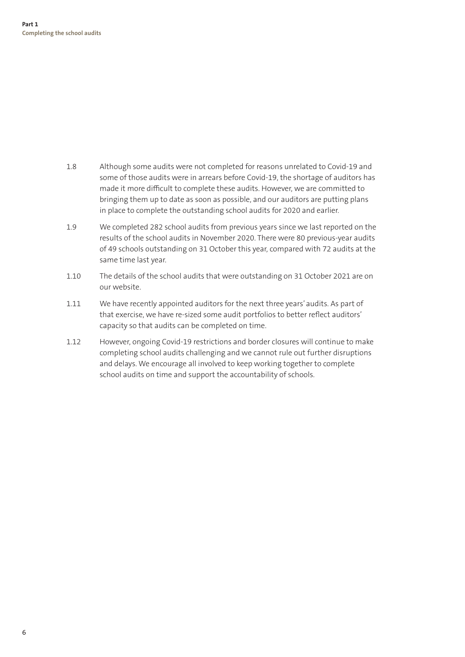- 1.8 Although some audits were not completed for reasons unrelated to Covid-19 and some of those audits were in arrears before Covid-19, the shortage of auditors has made it more difficult to complete these audits. However, we are committed to bringing them up to date as soon as possible, and our auditors are putting plans in place to complete the outstanding school audits for 2020 and earlier.
- 1.9 We completed 282 school audits from previous years since we last reported on the results of the school audits in November 2020. There were 80 previous-year audits of 49 schools outstanding on 31 October this year, compared with 72 audits at the same time last year.
- 1.10 The details of the school audits that were outstanding on 31 October 2021 are on our website.
- 1.11 We have recently appointed auditors for the next three years' audits. As part of that exercise, we have re-sized some audit portfolios to better reflect auditors' capacity so that audits can be completed on time.
- 1.12 However, ongoing Covid-19 restrictions and border closures will continue to make completing school audits challenging and we cannot rule out further disruptions and delays. We encourage all involved to keep working together to complete school audits on time and support the accountability of schools.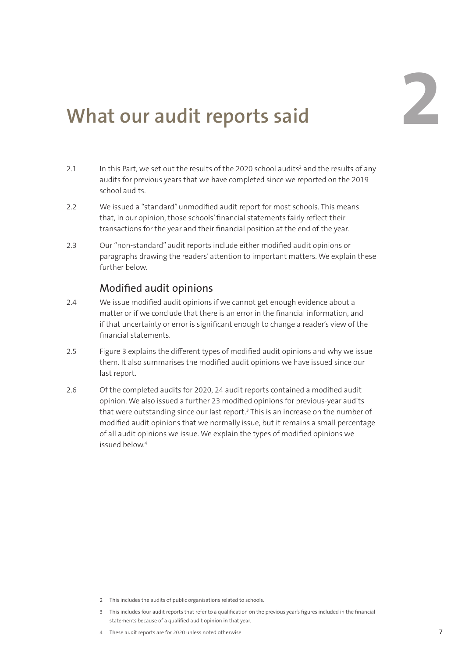# **What our audit reports said 22**

- 2.1 In this Part, we set out the results of the 2020 school audits<sup>2</sup> and the results of any audits for previous years that we have completed since we reported on the 2019 school audits.
- 2.2 We issued a "standard" unmodified audit report for most schools. This means that, in our opinion, those schools' financial statements fairly reflect their transactions for the year and their financial position at the end of the year.
- 2.3 Our "non-standard" audit reports include either modified audit opinions or paragraphs drawing the readers' attention to important matters. We explain these further below.

#### Modified audit opinions

- 2.4 We issue modified audit opinions if we cannot get enough evidence about a matter or if we conclude that there is an error in the financial information, and if that uncertainty or error is significant enough to change a reader's view of the financial statements.
- 2.5 Figure 3 explains the different types of modified audit opinions and why we issue them. It also summarises the modified audit opinions we have issued since our last report.
- 2.6 Of the completed audits for 2020, 24 audit reports contained a modified audit opinion. We also issued a further 23 modified opinions for previous-year audits that were outstanding since our last report.3 This is an increase on the number of modified audit opinions that we normally issue, but it remains a small percentage of all audit opinions we issue. We explain the types of modified opinions we issued below.4

- 2 This includes the audits of public organisations related to schools.
- 3 This includes four audit reports that refer to a qualification on the previous year's figures included in the financial statements because of a qualified audit opinion in that year.
- 4 These audit reports are for 2020 unless noted otherwise.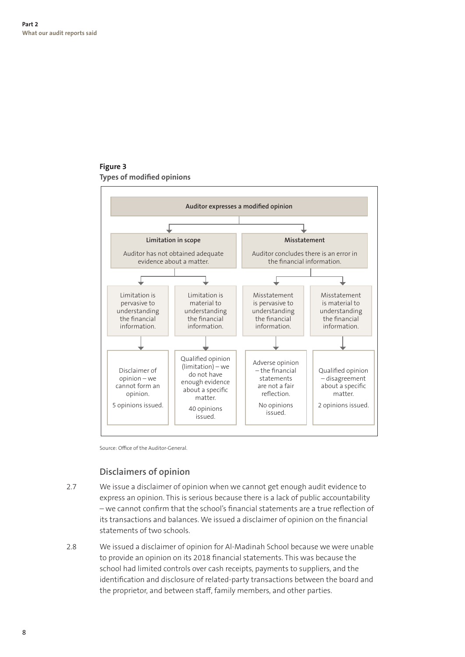**Figure 3 Types of modified opinions**



Source: Office of the Auditor-General.

#### **Disclaimers of opinion**

- 2.7 We issue a disclaimer of opinion when we cannot get enough audit evidence to express an opinion. This is serious because there is a lack of public accountability – we cannot confirm that the school's financial statements are a true reflection of its transactions and balances. We issued a disclaimer of opinion on the financial statements of two schools.
- 2.8 We issued a disclaimer of opinion for Al-Madinah School because we were unable to provide an opinion on its 2018 financial statements. This was because the school had limited controls over cash receipts, payments to suppliers, and the identification and disclosure of related-party transactions between the board and the proprietor, and between staff, family members, and other parties.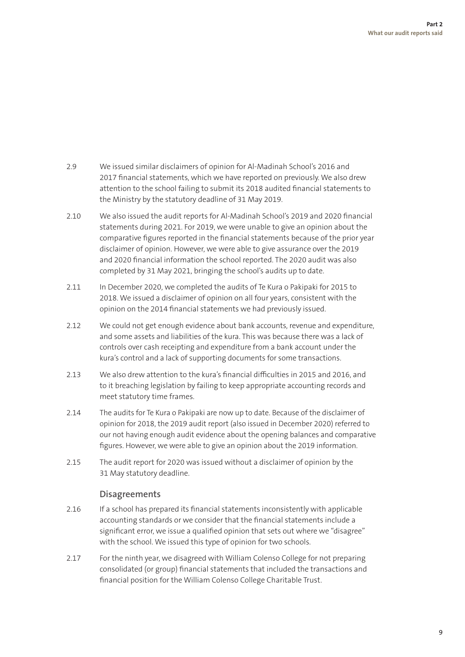- 2.9 We issued similar disclaimers of opinion for Al-Madinah School's 2016 and 2017 financial statements, which we have reported on previously. We also drew attention to the school failing to submit its 2018 audited financial statements to the Ministry by the statutory deadline of 31 May 2019.
- 2.10 We also issued the audit reports for Al-Madinah School's 2019 and 2020 financial statements during 2021. For 2019, we were unable to give an opinion about the comparative figures reported in the financial statements because of the prior year disclaimer of opinion. However, we were able to give assurance over the 2019 and 2020 financial information the school reported. The 2020 audit was also completed by 31 May 2021, bringing the school's audits up to date.
- 2.11 In December 2020, we completed the audits of Te Kura o Pakipaki for 2015 to 2018. We issued a disclaimer of opinion on all four years, consistent with the opinion on the 2014 financial statements we had previously issued.
- 2.12 We could not get enough evidence about bank accounts, revenue and expenditure, and some assets and liabilities of the kura. This was because there was a lack of controls over cash receipting and expenditure from a bank account under the kura's control and a lack of supporting documents for some transactions.
- 2.13 We also drew attention to the kura's financial difficulties in 2015 and 2016, and to it breaching legislation by failing to keep appropriate accounting records and meet statutory time frames.
- 2.14 The audits for Te Kura o Pakipaki are now up to date. Because of the disclaimer of opinion for 2018, the 2019 audit report (also issued in December 2020) referred to our not having enough audit evidence about the opening balances and comparative figures. However, we were able to give an opinion about the 2019 information.
- 2.15 The audit report for 2020 was issued without a disclaimer of opinion by the 31 May statutory deadline.

#### **Disagreements**

- 2.16 If a school has prepared its financial statements inconsistently with applicable accounting standards or we consider that the financial statements include a significant error, we issue a qualified opinion that sets out where we "disagree" with the school. We issued this type of opinion for two schools.
- 2.17 For the ninth year, we disagreed with William Colenso College for not preparing consolidated (or group) financial statements that included the transactions and financial position for the William Colenso College Charitable Trust.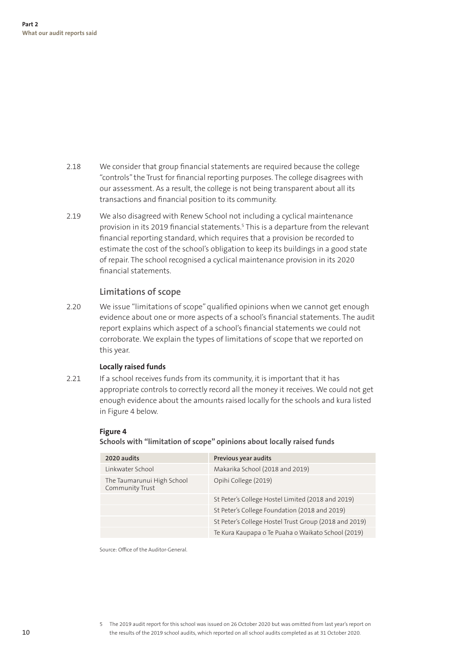- 2.18 We consider that group financial statements are required because the college "controls" the Trust for financial reporting purposes. The college disagrees with our assessment. As a result, the college is not being transparent about all its transactions and financial position to its community.
- 2.19 We also disagreed with Renew School not including a cyclical maintenance provision in its 2019 financial statements.<sup>5</sup> This is a departure from the relevant financial reporting standard, which requires that a provision be recorded to estimate the cost of the school's obligation to keep its buildings in a good state of repair. The school recognised a cyclical maintenance provision in its 2020 financial statements.

#### **Limitations of scope**

2.20 We issue "limitations of scope" qualified opinions when we cannot get enough evidence about one or more aspects of a school's financial statements. The audit report explains which aspect of a school's financial statements we could not corroborate. We explain the types of limitations of scope that we reported on this year.

#### **Locally raised funds**

2.21 If a school receives funds from its community, it is important that it has appropriate controls to correctly record all the money it receives. We could not get enough evidence about the amounts raised locally for the schools and kura listed in Figure 4 below.

#### **Figure 4**

**Schools with "limitation of scope" opinions about locally raised funds**

| 2020 audits                                   | Previous year audits                                  |
|-----------------------------------------------|-------------------------------------------------------|
| Linkwater School                              | Makarika School (2018 and 2019)                       |
| The Taumarunui High School<br>Community Trust | Opihi College (2019)                                  |
|                                               | St Peter's College Hostel Limited (2018 and 2019)     |
|                                               | St Peter's College Foundation (2018 and 2019)         |
|                                               | St Peter's College Hostel Trust Group (2018 and 2019) |
|                                               | Te Kura Kaupapa o Te Puaha o Waikato School (2019)    |

Source: Office of the Auditor-General.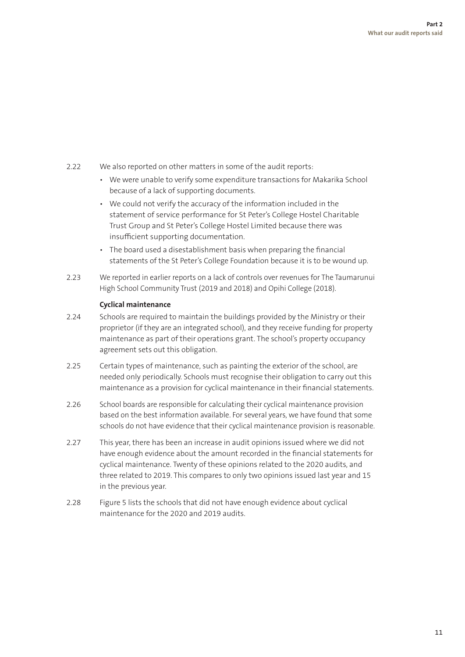- 2.22 We also reported on other matters in some of the audit reports:
	- We were unable to verify some expenditure transactions for Makarika School because of a lack of supporting documents.
	- We could not verify the accuracy of the information included in the statement of service performance for St Peter's College Hostel Charitable Trust Group and St Peter's College Hostel Limited because there was insufficient supporting documentation.
	- The board used a disestablishment basis when preparing the financial statements of the St Peter's College Foundation because it is to be wound up.
- 2.23 We reported in earlier reports on a lack of controls over revenues for The Taumarunui High School Community Trust (2019 and 2018) and Opihi College (2018).

#### **Cyclical maintenance**

- 2.24 Schools are required to maintain the buildings provided by the Ministry or their proprietor (if they are an integrated school), and they receive funding for property maintenance as part of their operations grant. The school's property occupancy agreement sets out this obligation.
- 2.25 Certain types of maintenance, such as painting the exterior of the school, are needed only periodically. Schools must recognise their obligation to carry out this maintenance as a provision for cyclical maintenance in their financial statements.
- 2.26 School boards are responsible for calculating their cyclical maintenance provision based on the best information available. For several years, we have found that some schools do not have evidence that their cyclical maintenance provision is reasonable.
- 2.27 This year, there has been an increase in audit opinions issued where we did not have enough evidence about the amount recorded in the financial statements for cyclical maintenance. Twenty of these opinions related to the 2020 audits, and three related to 2019. This compares to only two opinions issued last year and 15 in the previous year.
- 2.28 Figure 5 lists the schools that did not have enough evidence about cyclical maintenance for the 2020 and 2019 audits.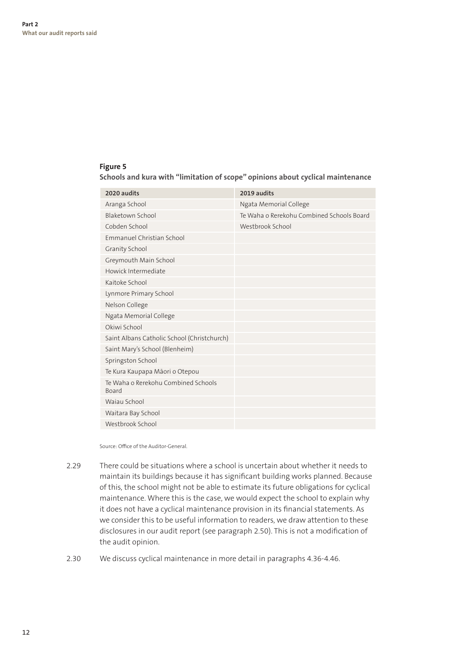#### **Figure 5**

**Schools and kura with "limitation of scope" opinions about cyclical maintenance**

| 2019 audits                               |
|-------------------------------------------|
| Ngata Memorial College                    |
| Te Waha o Rerekohu Combined Schools Board |
| Westbrook School                          |
|                                           |
|                                           |
|                                           |
|                                           |
|                                           |
|                                           |
|                                           |
|                                           |
|                                           |
|                                           |
|                                           |
|                                           |
|                                           |
|                                           |
|                                           |
|                                           |
|                                           |
|                                           |

Source: Office of the Auditor-General.

- 2.29 There could be situations where a school is uncertain about whether it needs to maintain its buildings because it has significant building works planned. Because of this, the school might not be able to estimate its future obligations for cyclical maintenance. Where this is the case, we would expect the school to explain why it does not have a cyclical maintenance provision in its financial statements. As we consider this to be useful information to readers, we draw attention to these disclosures in our audit report (see paragraph 2.50). This is not a modification of the audit opinion.
- 2.30 We discuss cyclical maintenance in more detail in paragraphs 4.36-4.46.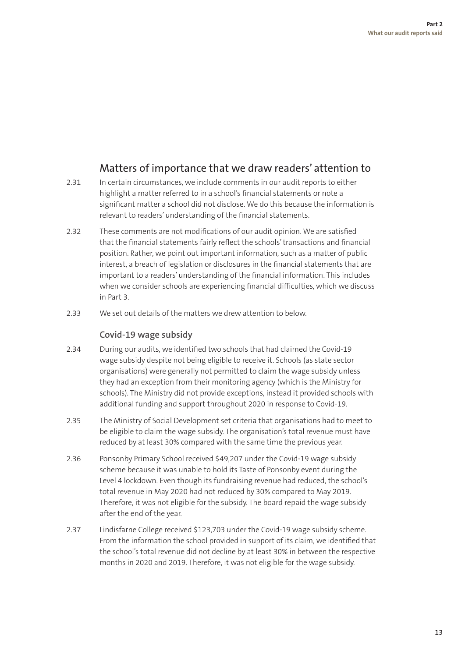#### Matters of importance that we draw readers' attention to

- 2.31 In certain circumstances, we include comments in our audit reports to either highlight a matter referred to in a school's financial statements or note a significant matter a school did not disclose. We do this because the information is relevant to readers' understanding of the financial statements.
- 2.32 These comments are not modifications of our audit opinion. We are satisfied that the financial statements fairly reflect the schools' transactions and financial position. Rather, we point out important information, such as a matter of public interest, a breach of legislation or disclosures in the financial statements that are important to a readers' understanding of the financial information. This includes when we consider schools are experiencing financial difficulties, which we discuss in Part 3.
- 2.33 We set out details of the matters we drew attention to below.

#### **Covid-19 wage subsidy**

- 2.34 During our audits, we identified two schools that had claimed the Covid-19 wage subsidy despite not being eligible to receive it. Schools (as state sector organisations) were generally not permitted to claim the wage subsidy unless they had an exception from their monitoring agency (which is the Ministry for schools). The Ministry did not provide exceptions, instead it provided schools with additional funding and support throughout 2020 in response to Covid-19.
- 2.35 The Ministry of Social Development set criteria that organisations had to meet to be eligible to claim the wage subsidy. The organisation's total revenue must have reduced by at least 30% compared with the same time the previous year.
- 2.36 Ponsonby Primary School received \$49,207 under the Covid-19 wage subsidy scheme because it was unable to hold its Taste of Ponsonby event during the Level 4 lockdown. Even though its fundraising revenue had reduced, the school's total revenue in May 2020 had not reduced by 30% compared to May 2019. Therefore, it was not eligible for the subsidy. The board repaid the wage subsidy after the end of the year.
- 2.37 Lindisfarne College received \$123,703 under the Covid-19 wage subsidy scheme. From the information the school provided in support of its claim, we identified that the school's total revenue did not decline by at least 30% in between the respective months in 2020 and 2019. Therefore, it was not eligible for the wage subsidy.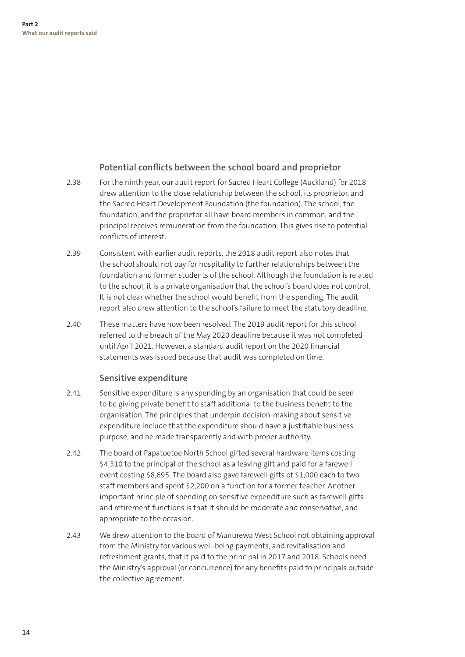#### **Potential conflicts between the school board and proprietor**

- 2.38 For the ninth year, our audit report for Sacred Heart College (Auckland) for 2018 drew attention to the close relationship between the school, its proprietor, and the Sacred Heart Development Foundation (the foundation). The school, the foundation, and the proprietor all have board members in common, and the principal receives remuneration from the foundation. This gives rise to potential conflicts of interest.
- 2.39 Consistent with earlier audit reports, the 2018 audit report also notes that the school should not pay for hospitality to further relationships between the foundation and former students of the school. Although the foundation is related to the school, it is a private organisation that the school's board does not control. It is not clear whether the school would benefit from the spending. The audit report also drew attention to the school's failure to meet the statutory deadline.
- 2.40 These matters have now been resolved. The 2019 audit report for this school referred to the breach of the May 2020 deadline because it was not completed until April 2021. However, a standard audit report on the 2020 financial statements was issued because that audit was completed on time.

#### **Sensitive expenditure**

- 2.41 Sensitive expenditure is any spending by an organisation that could be seen to be giving private benefit to staff additional to the business benefit to the organisation. The principles that underpin decision-making about sensitive expenditure include that the expenditure should have a justifiable business purpose, and be made transparently and with proper authority.
- 2.42 The board of Papatoetoe North School gifted several hardware items costing \$4,310 to the principal of the school as a leaving gift and paid for a farewell event costing \$8,695. The board also gave farewell gifts of \$1,000 each to two staff members and spent \$2,200 on a function for a former teacher. Another important principle of spending on sensitive expenditure such as farewell gifts and retirement functions is that it should be moderate and conservative, and appropriate to the occasion.
- 2.43 We drew attention to the board of Manurewa West School not obtaining approval from the Ministry for various well-being payments, and revitalisation and refreshment grants, that it paid to the principal in 2017 and 2018. Schools need the Ministry's approval (or concurrence) for any benefits paid to principals outside the collective agreement.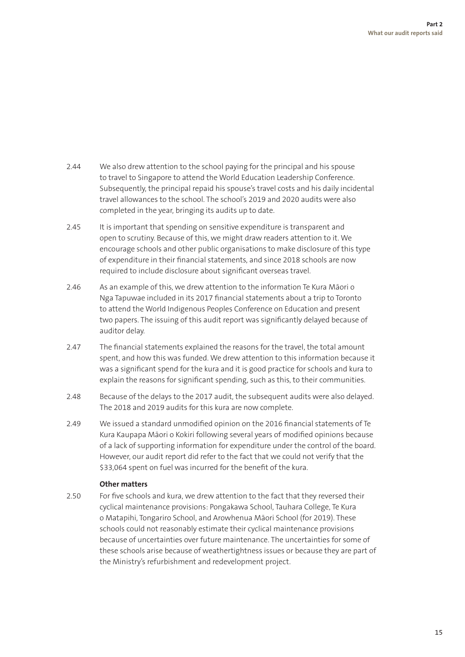- 2.44 We also drew attention to the school paying for the principal and his spouse to travel to Singapore to attend the World Education Leadership Conference. Subsequently, the principal repaid his spouse's travel costs and his daily incidental travel allowances to the school. The school's 2019 and 2020 audits were also completed in the year, bringing its audits up to date.
- 2.45 It is important that spending on sensitive expenditure is transparent and open to scrutiny. Because of this, we might draw readers attention to it. We encourage schools and other public organisations to make disclosure of this type of expenditure in their financial statements, and since 2018 schools are now required to include disclosure about significant overseas travel.
- 2.46 As an example of this, we drew attention to the information Te Kura Māori o Nga Tapuwae included in its 2017 financial statements about a trip to Toronto to attend the World Indigenous Peoples Conference on Education and present two papers. The issuing of this audit report was significantly delayed because of auditor delay.
- 2.47 The financial statements explained the reasons for the travel, the total amount spent, and how this was funded. We drew attention to this information because it was a significant spend for the kura and it is good practice for schools and kura to explain the reasons for significant spending, such as this, to their communities.
- 2.48 Because of the delays to the 2017 audit, the subsequent audits were also delayed. The 2018 and 2019 audits for this kura are now complete.
- 2.49 We issued a standard unmodified opinion on the 2016 financial statements of Te Kura Kaupapa Māori o Kokiri following several years of modified opinions because of a lack of supporting information for expenditure under the control of the board. However, our audit report did refer to the fact that we could not verify that the \$33,064 spent on fuel was incurred for the benefit of the kura.

#### **Other matters**

2.50 For five schools and kura, we drew attention to the fact that they reversed their cyclical maintenance provisions: Pongakawa School, Tauhara College, Te Kura o Matapihi, Tongariro School, and Arowhenua Māori School (for 2019). These schools could not reasonably estimate their cyclical maintenance provisions because of uncertainties over future maintenance. The uncertainties for some of these schools arise because of weathertightness issues or because they are part of the Ministry's refurbishment and redevelopment project.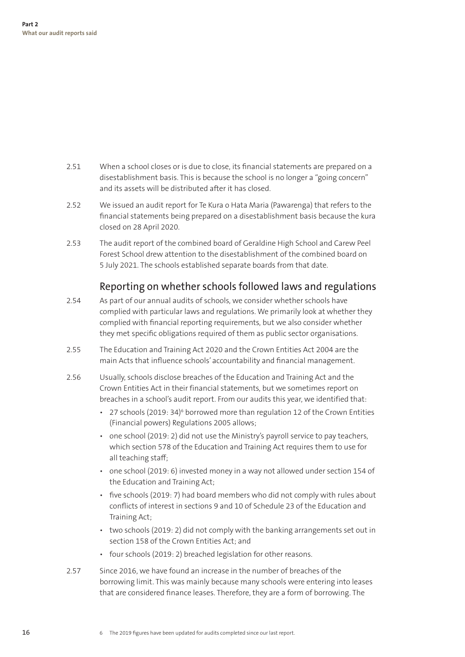- 2.51 When a school closes or is due to close, its financial statements are prepared on a disestablishment basis. This is because the school is no longer a "going concern" and its assets will be distributed after it has closed.
- 2.52 We issued an audit report for Te Kura o Hata Maria (Pawarenga) that refers to the financial statements being prepared on a disestablishment basis because the kura closed on 28 April 2020.
- 2.53 The audit report of the combined board of Geraldine High School and Carew Peel Forest School drew attention to the disestablishment of the combined board on 5 July 2021. The schools established separate boards from that date.

#### Reporting on whether schools followed laws and regulations

- 2.54 As part of our annual audits of schools, we consider whether schools have complied with particular laws and regulations. We primarily look at whether they complied with financial reporting requirements, but we also consider whether they met specific obligations required of them as public sector organisations.
- 2.55 The Education and Training Act 2020 and the Crown Entities Act 2004 are the main Acts that influence schools' accountability and financial management.
- 2.56 Usually, schools disclose breaches of the Education and Training Act and the Crown Entities Act in their financial statements, but we sometimes report on breaches in a school's audit report. From our audits this year, we identified that:
	- 27 schools (2019: 34) $\circ$  borrowed more than regulation 12 of the Crown Entities (Financial powers) Regulations 2005 allows;
	- one school (2019: 2) did not use the Ministry's payroll service to pay teachers, which section 578 of the Education and Training Act requires them to use for all teaching staff;
	- one school (2019: 6) invested money in a way not allowed under section 154 of the Education and Training Act;
	- five schools (2019: 7) had board members who did not comply with rules about conflicts of interest in sections 9 and 10 of Schedule 23 of the Education and Training Act;
	- two schools (2019: 2) did not comply with the banking arrangements set out in section 158 of the Crown Entities Act; and
	- four schools (2019: 2) breached legislation for other reasons.
- 2.57 Since 2016, we have found an increase in the number of breaches of the borrowing limit. This was mainly because many schools were entering into leases that are considered finance leases. Therefore, they are a form of borrowing. The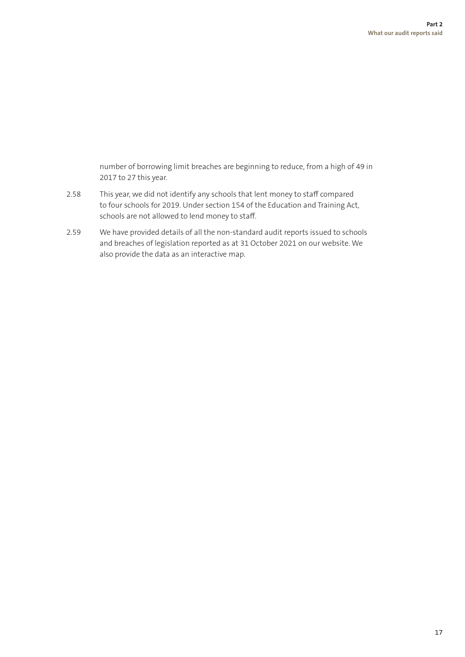number of borrowing limit breaches are beginning to reduce, from a high of 49 in 2017 to 27 this year.

- 2.58 This year, we did not identify any schools that lent money to staff compared to four schools for 2019. Under section 154 of the Education and Training Act, schools are not allowed to lend money to staff.
- 2.59 We have provided details of all the non-standard audit reports issued to schools and breaches of legislation reported as at 31 October 2021 on our website. We also provide the data as an interactive map.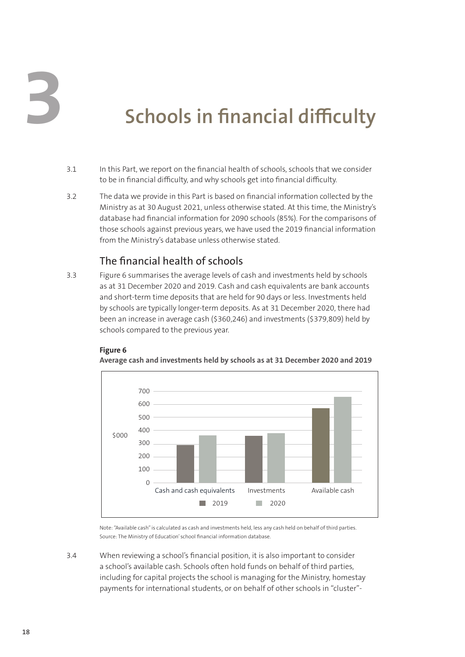**3**

# **Schools in financial difficulty**

- 3.1 In this Part, we report on the financial health of schools, schools that we consider to be in financial difficulty, and why schools get into financial difficulty.
- 3.2 The data we provide in this Part is based on financial information collected by the Ministry as at 30 August 2021, unless otherwise stated. At this time, the Ministry's database had financial information for 2090 schools (85%). For the comparisons of those schools against previous years, we have used the 2019 financial information from the Ministry's database unless otherwise stated.

#### The financial health of schools

3.3 Figure 6 summarises the average levels of cash and investments held by schools as at 31 December 2020 and 2019. Cash and cash equivalents are bank accounts and short-term time deposits that are held for 90 days or less. Investments held by schools are typically longer-term deposits. As at 31 December 2020, there had been an increase in average cash (\$360,246) and investments (\$379,809) held by schools compared to the previous year.



**Average cash and investments held by schools as at 31 December 2020 and 2019**



Note: "Available cash" is calculated as cash and investments held, less any cash held on behalf of third parties. Source: The Ministry of Education' school financial information database.

3.4 When reviewing a school's financial position, it is also important to consider a school's available cash. Schools often hold funds on behalf of third parties, including for capital projects the school is managing for the Ministry, homestay payments for international students, or on behalf of other schools in "cluster"-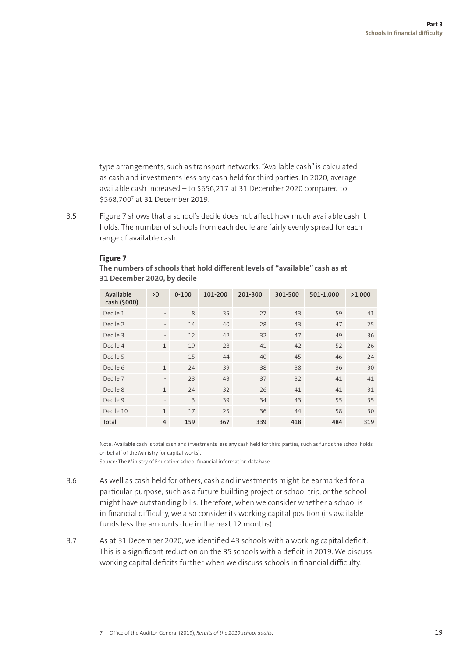type arrangements, such as transport networks. "Available cash" is calculated as cash and investments less any cash held for third parties. In 2020, average available cash increased – to \$656,217 at 31 December 2020 compared to \$568,7007 at 31 December 2019.

3.5 Figure 7 shows that a school's decile does not affect how much available cash it holds. The number of schools from each decile are fairly evenly spread for each range of available cash.

| Available<br>cash (\$000) | >0                       | $0 - 100$ | 101-200 | 201-300 | 301-500 | 501-1,000 | >1,000 |
|---------------------------|--------------------------|-----------|---------|---------|---------|-----------|--------|
| Decile 1                  | $\overline{\phantom{a}}$ | 8         | 35      | 27      | 43      | 59        | 41     |
| Decile 2                  | $\overline{\phantom{a}}$ | 14        | 40      | 28      | 43      | 47        | 25     |
| Decile 3                  | $\overline{\phantom{a}}$ | 12        | 42      | 32      | 47      | 49        | 36     |
| Decile 4                  | $\mathbf{1}$             | 19        | 28      | 41      | 42      | 52        | 26     |
| Decile 5                  | $\overline{\phantom{a}}$ | 15        | 44      | 40      | 45      | 46        | 24     |
| Decile 6                  | $\mathbf{1}$             | 24        | 39      | 38      | 38      | 36        | 30     |
| Decile 7                  | $\overline{\phantom{a}}$ | 23        | 43      | 37      | 32      | 41        | 41     |
| Decile 8                  | $\mathbf{1}$             | 24        | 32      | 26      | 41      | 41        | 31     |
| Decile 9                  | $\overline{\phantom{a}}$ | 3         | 39      | 34      | 43      | 55        | 35     |
| Decile 10                 | $\mathbf{1}$             | 17        | 25      | 36      | 44      | 58        | 30     |
| Total                     | 4                        | 159       | 367     | 339     | 418     | 484       | 319    |

#### **Figure 7**

**The numbers of schools that hold different levels of "available" cash as at 31 December 2020, by decile**

Note: Available cash is total cash and investments less any cash held for third parties, such as funds the school holds on behalf of the Ministry for capital works).

Source: The Ministry of Education' school financial information database.

- 3.6 As well as cash held for others, cash and investments might be earmarked for a particular purpose, such as a future building project or school trip, or the school might have outstanding bills. Therefore, when we consider whether a school is in financial difficulty, we also consider its working capital position (its available funds less the amounts due in the next 12 months).
- 3.7 As at 31 December 2020, we identified 43 schools with a working capital deficit. This is a significant reduction on the 85 schools with a deficit in 2019. We discuss working capital deficits further when we discuss schools in financial difficulty.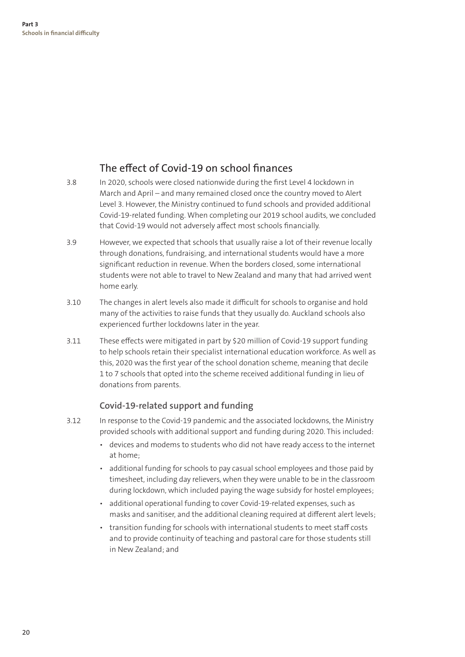#### The effect of Covid-19 on school finances

- 3.8 In 2020, schools were closed nationwide during the first Level 4 lockdown in March and April – and many remained closed once the country moved to Alert Level 3. However, the Ministry continued to fund schools and provided additional Covid-19-related funding. When completing our 2019 school audits, we concluded that Covid-19 would not adversely affect most schools financially.
- 3.9 However, we expected that schools that usually raise a lot of their revenue locally through donations, fundraising, and international students would have a more significant reduction in revenue. When the borders closed, some international students were not able to travel to New Zealand and many that had arrived went home early.
- 3.10 The changes in alert levels also made it difficult for schools to organise and hold many of the activities to raise funds that they usually do. Auckland schools also experienced further lockdowns later in the year.
- 3.11 These effects were mitigated in part by \$20 million of Covid-19 support funding to help schools retain their specialist international education workforce. As well as this, 2020 was the first year of the school donation scheme, meaning that decile 1 to 7 schools that opted into the scheme received additional funding in lieu of donations from parents.

#### **Covid-19-related support and funding**

- 3.12 In response to the Covid-19 pandemic and the associated lockdowns, the Ministry provided schools with additional support and funding during 2020. This included:
	- devices and modems to students who did not have ready access to the internet at home;
	- additional funding for schools to pay casual school employees and those paid by timesheet, including day relievers, when they were unable to be in the classroom during lockdown, which included paying the wage subsidy for hostel employees;
	- additional operational funding to cover Covid-19-related expenses, such as masks and sanitiser, and the additional cleaning required at different alert levels;
	- transition funding for schools with international students to meet staff costs and to provide continuity of teaching and pastoral care for those students still in New Zealand; and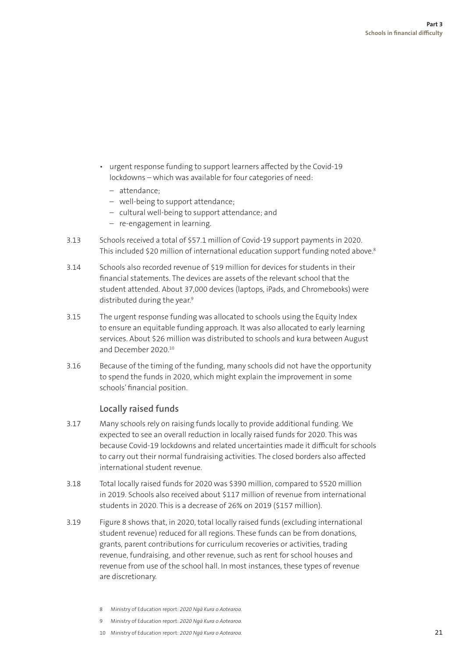- urgent response funding to support learners affected by the Covid-19 lockdowns – which was available for four categories of need:
	- attendance;
	- well-being to support attendance;
	- cultural well-being to support attendance; and
	- re-engagement in learning.
- 3.13 Schools received a total of \$57.1 million of Covid-19 support payments in 2020. This included \$20 million of international education support funding noted above.<sup>8</sup>
- 3.14 Schools also recorded revenue of \$19 million for devices for students in their financial statements. The devices are assets of the relevant school that the student attended. About 37,000 devices (laptops, iPads, and Chromebooks) were distributed during the year.<sup>9</sup>
- 3.15 The urgent response funding was allocated to schools using the Equity Index to ensure an equitable funding approach. It was also allocated to early learning services. About \$26 million was distributed to schools and kura between August and December 2020.10
- 3.16 Because of the timing of the funding, many schools did not have the opportunity to spend the funds in 2020, which might explain the improvement in some schools' financial position.

#### **Locally raised funds**

- 3.17 Many schools rely on raising funds locally to provide additional funding. We expected to see an overall reduction in locally raised funds for 2020. This was because Covid-19 lockdowns and related uncertainties made it difficult for schools to carry out their normal fundraising activities. The closed borders also affected international student revenue.
- 3.18 Total locally raised funds for 2020 was \$390 million, compared to \$520 million in 2019. Schools also received about \$117 million of revenue from international students in 2020. This is a decrease of 26% on 2019 (\$157 million).
- 3.19 Figure 8 shows that, in 2020, total locally raised funds (excluding international student revenue) reduced for all regions. These funds can be from donations, grants, parent contributions for curriculum recoveries or activities, trading revenue, fundraising, and other revenue, such as rent for school houses and revenue from use of the school hall. In most instances, these types of revenue are discretionary.
	- 8 Ministry of Education report: *2020 Ngā Kura o Aotearoa.*
	- 9 Ministry of Education report: *2020 Ngā Kura o Aotearoa.*
	- 10 Ministry of Education report: *2020 Ngā Kura o Aotearoa.*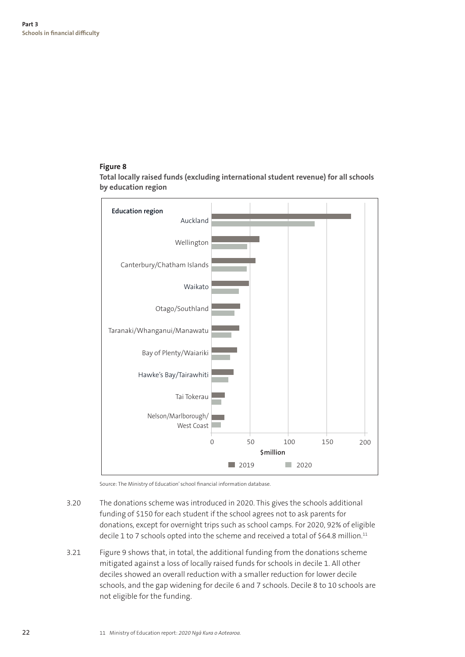#### **Figure 8**

**Total locally raised funds (excluding international student revenue) for all schools by education region**



Source: The Ministry of Education' school financial information database.

- 3.20 The donations scheme was introduced in 2020. This gives the schools additional funding of \$150 for each student if the school agrees not to ask parents for donations, except for overnight trips such as school camps. For 2020, 92% of eligible decile 1 to 7 schools opted into the scheme and received a total of \$64.8 million.<sup>11</sup>
- 3.21 Figure 9 shows that, in total, the additional funding from the donations scheme mitigated against a loss of locally raised funds for schools in decile 1. All other deciles showed an overall reduction with a smaller reduction for lower decile schools, and the gap widening for decile 6 and 7 schools. Decile 8 to 10 schools are not eligible for the funding.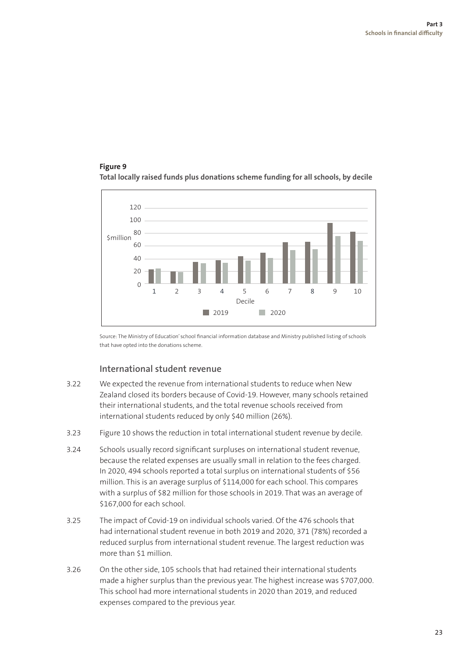#### **Figure 9 Total locally raised funds plus donations scheme funding for all schools, by decile**



Source: The Ministry of Education' school financial information database and Ministry published listing of schools that have opted into the donations scheme.

#### **International student revenue**

- 3.22 We expected the revenue from international students to reduce when New Zealand closed its borders because of Covid-19. However, many schools retained their international students, and the total revenue schools received from international students reduced by only \$40 million (26%).
- 3.23 Figure 10 shows the reduction in total international student revenue by decile.
- 3.24 Schools usually record significant surpluses on international student revenue, because the related expenses are usually small in relation to the fees charged. In 2020, 494 schools reported a total surplus on international students of \$56 million. This is an average surplus of \$114,000 for each school. This compares with a surplus of \$82 million for those schools in 2019. That was an average of \$167,000 for each school.
- 3.25 The impact of Covid-19 on individual schools varied. Of the 476 schools that had international student revenue in both 2019 and 2020, 371 (78%) recorded a reduced surplus from international student revenue. The largest reduction was more than \$1 million.
- 3.26 On the other side, 105 schools that had retained their international students made a higher surplus than the previous year. The highest increase was \$707,000. This school had more international students in 2020 than 2019, and reduced expenses compared to the previous year.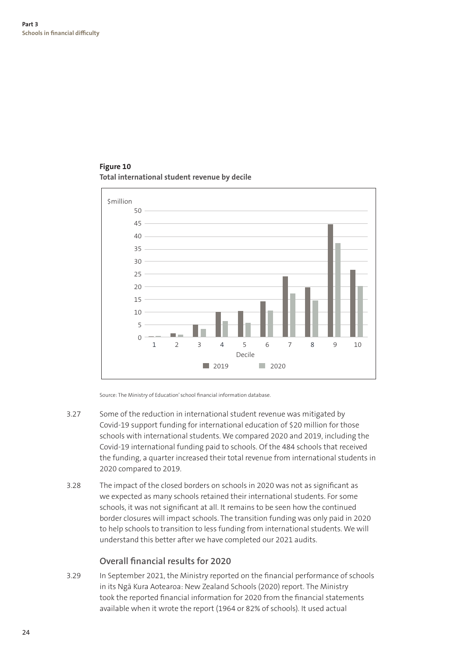

**Figure 10 Total international student revenue by decile**

Source: The Ministry of Education' school financial information database.

- 3.27 Some of the reduction in international student revenue was mitigated by Covid-19 support funding for international education of \$20 million for those schools with international students. We compared 2020 and 2019, including the Covid-19 international funding paid to schools. Of the 484 schools that received the funding, a quarter increased their total revenue from international students in 2020 compared to 2019.
- 3.28 The impact of the closed borders on schools in 2020 was not as significant as we expected as many schools retained their international students. For some schools, it was not significant at all. It remains to be seen how the continued border closures will impact schools. The transition funding was only paid in 2020 to help schools to transition to less funding from international students. We will understand this better after we have completed our 2021 audits.

#### **Overall financial results for 2020**

3.29 In September 2021, the Ministry reported on the financial performance of schools in its Ngā Kura Aotearoa: New Zealand Schools (2020) report. The Ministry took the reported financial information for 2020 from the financial statements available when it wrote the report (1964 or 82% of schools). It used actual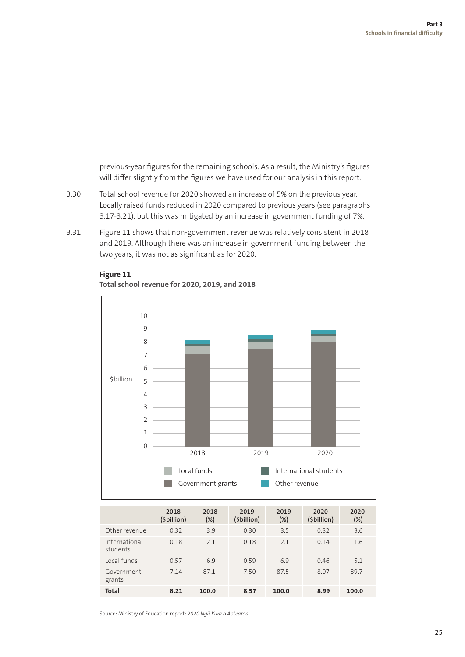previous-year figures for the remaining schools. As a result, the Ministry's figures will differ slightly from the figures we have used for our analysis in this report.

- 3.30 Total school revenue for 2020 showed an increase of 5% on the previous year. Locally raised funds reduced in 2020 compared to previous years (see paragraphs 3.17-3.21), but this was mitigated by an increase in government funding of 7%.
- 3.31 Figure 11 shows that non-government revenue was relatively consistent in 2018 and 2019. Although there was an increase in government funding between the two years, it was not as significant as for 2020.



#### **Figure 11**

**Total school revenue for 2020, 2019, and 2018** 

|                           | 2018<br>(\$billion) | 2018<br>$(\%)$ | 2019<br>(\$billion) | 2019<br>$(\%)$ | 2020<br>(\$billion) | 2020<br>$(\%)$ |
|---------------------------|---------------------|----------------|---------------------|----------------|---------------------|----------------|
| Other revenue             | 0.32                | 3.9            | 0.30                | 3.5            | 0.32                | 3.6            |
| International<br>students | 0.18                | 2.1            | 0.18                | 2.1            | 0.14                | 1.6            |
| Local funds               | 0.57                | 6.9            | 0.59                | 6.9            | 0.46                | 5.1            |
| Government<br>grants      | 7.14                | 87.1           | 7.50                | 87.5           | 8.07                | 89.7           |
| <b>Total</b>              | 8.21                | 100.0          | 8.57                | 100.0          | 8.99                | 100.0          |

Source: Ministry of Education report: *2020 Ngā Kura o Aotearoa*.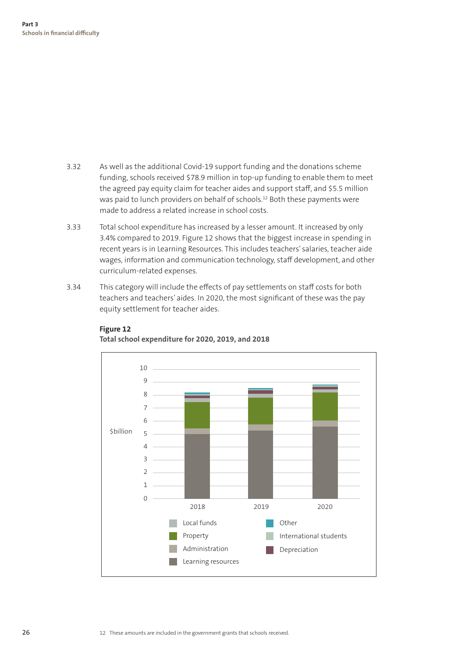- 3.32 As well as the additional Covid-19 support funding and the donations scheme funding, schools received \$78.9 million in top-up funding to enable them to meet the agreed pay equity claim for teacher aides and support staff, and \$5.5 million was paid to lunch providers on behalf of schools.12 Both these payments were made to address a related increase in school costs.
- 3.33 Total school expenditure has increased by a lesser amount. It increased by only 3.4% compared to 2019. Figure 12 shows that the biggest increase in spending in recent years is in Learning Resources. This includes teachers' salaries, teacher aide wages, information and communication technology, staff development, and other curriculum-related expenses.
- 3.34 This category will include the effects of pay settlements on staff costs for both teachers and teachers' aides. In 2020, the most significant of these was the pay equity settlement for teacher aides.



#### **Figure 12**

**Total school expenditure for 2020, 2019, and 2018**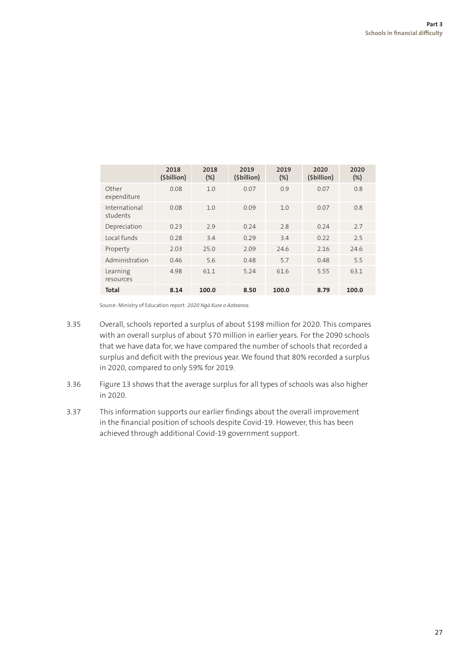|                           | 2018<br>(\$billion) | 2018<br>$(\%)$ | 2019<br>(\$billion) | 2019<br>(%) | 2020<br>(\$billion) | 2020<br>$(\%)$ |
|---------------------------|---------------------|----------------|---------------------|-------------|---------------------|----------------|
| Other<br>expenditure      | 0.08                | 1.0            | 0.07                | 0.9         | 0.07                | 0.8            |
| International<br>students | 0.08                | 1.0            | 0.09                | 1.0         | 0.07                | 0.8            |
| Depreciation              | 0.23                | 2.9            | 0.24                | 2.8         | 0.24                | 2.7            |
| Local funds               | 0.28                | 3.4            | 0.29                | 3.4         | 0.22                | 2.5            |
| Property                  | 2.03                | 25.0           | 2.09                | 24.6        | 2.16                | 24.6           |
| Administration            | 0.46                | 5.6            | 0.48                | 5.7         | 0.48                | 5.5            |
| Learning<br>resources     | 4.98                | 61.1           | 5.24                | 61.6        | 5.55                | 63.1           |
| <b>Total</b>              | 8.14                | 100.0          | 8.50                | 100.0       | 8.79                | 100.0          |

Source: Ministry of Education report: *2020 Ngā Kura o Aotearoa*.

- 3.35 Overall, schools reported a surplus of about \$198 million for 2020. This compares with an overall surplus of about \$70 million in earlier years. For the 2090 schools that we have data for, we have compared the number of schools that recorded a surplus and deficit with the previous year. We found that 80% recorded a surplus in 2020, compared to only 59% for 2019.
- 3.36 Figure 13 shows that the average surplus for all types of schools was also higher in 2020.
- 3.37 This information supports our earlier findings about the overall improvement in the financial position of schools despite Covid-19. However, this has been achieved through additional Covid-19 government support.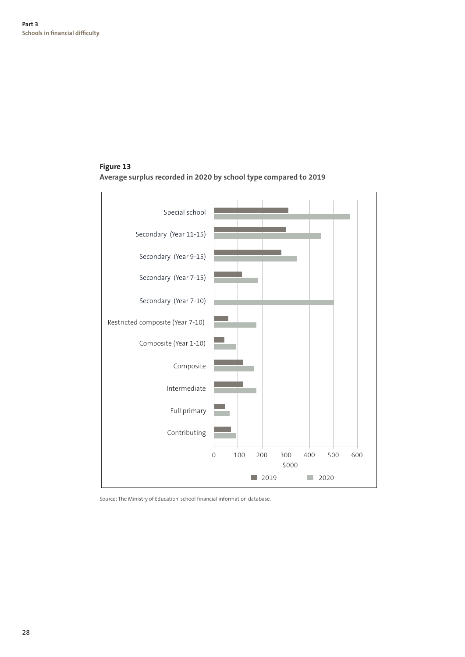#### **Figure 13 Average surplus recorded in 2020 by school type compared to 2019**



Source: The Ministry of Education' school financial information database.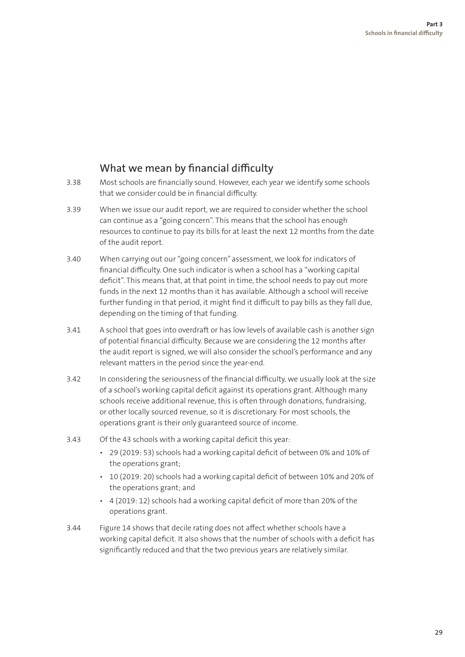### What we mean by financial difficulty

- 3.38 Most schools are financially sound. However, each year we identify some schools that we consider could be in financial difficulty.
- 3.39 When we issue our audit report, we are required to consider whether the school can continue as a "going concern". This means that the school has enough resources to continue to pay its bills for at least the next 12 months from the date of the audit report.
- 3.40 When carrying out our "going concern" assessment, we look for indicators of financial difficulty. One such indicator is when a school has a "working capital deficit". This means that, at that point in time, the school needs to pay out more funds in the next 12 months than it has available. Although a school will receive further funding in that period, it might find it difficult to pay bills as they fall due, depending on the timing of that funding.
- 3.41 A school that goes into overdraft or has low levels of available cash is another sign of potential financial difficulty. Because we are considering the 12 months after the audit report is signed, we will also consider the school's performance and any relevant matters in the period since the year-end.
- 3.42 In considering the seriousness of the financial difficulty, we usually look at the size of a school's working capital deficit against its operations grant. Although many schools receive additional revenue, this is often through donations, fundraising, or other locally sourced revenue, so it is discretionary. For most schools, the operations grant is their only guaranteed source of income.
- 3.43 Of the 43 schools with a working capital deficit this year:
	- 29 (2019: 53) schools had a working capital deficit of between 0% and 10% of the operations grant;
	- 10 (2019: 20) schools had a working capital deficit of between 10% and 20% of the operations grant; and
	- 4 (2019: 12) schools had a working capital deficit of more than 20% of the operations grant.
- 3.44 Figure 14 shows that decile rating does not affect whether schools have a working capital deficit. It also shows that the number of schools with a deficit has significantly reduced and that the two previous years are relatively similar.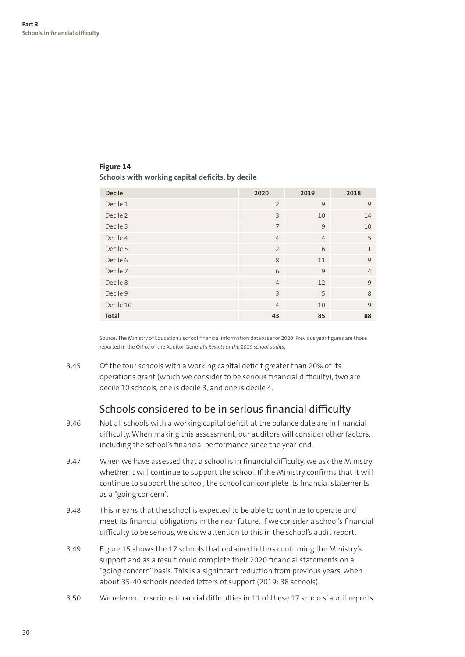#### **Figure 14**

#### **Schools with working capital deficits, by decile**

| Decile       | 2020           | 2019           | 2018           |
|--------------|----------------|----------------|----------------|
| Decile 1     | $\overline{2}$ | 9              | 9              |
| Decile 2     | $\overline{3}$ | 10             | 14             |
| Decile 3     | $\overline{7}$ | 9              | 10             |
| Decile 4     | $\overline{4}$ | $\overline{4}$ | 5              |
| Decile 5     | $\overline{2}$ | 6              | 11             |
| Decile 6     | 8              | 11             | 9              |
| Decile 7     | 6              | 9              | $\overline{4}$ |
| Decile 8     | $\overline{4}$ | 12             | 9              |
| Decile 9     | $\overline{3}$ | 5              | 8              |
| Decile 10    | $\overline{4}$ | 10             | 9              |
| <b>Total</b> | 43             | 85             | 88             |

Source: The Ministry of Education's school financial information database for 2020. Previous year figures are those reported in the Office of the Auditor-General's *Results of the 2019 school audits*.

3.45 Of the four schools with a working capital deficit greater than 20% of its operations grant (which we consider to be serious financial difficulty), two are decile 10 schools, one is decile 3, and one is decile 4.

#### Schools considered to be in serious financial difficulty

- 3.46 Not all schools with a working capital deficit at the balance date are in financial difficulty. When making this assessment, our auditors will consider other factors, including the school's financial performance since the year-end.
- 3.47 When we have assessed that a school is in financial difficulty, we ask the Ministry whether it will continue to support the school. If the Ministry confirms that it will continue to support the school, the school can complete its financial statements as a "going concern".
- 3.48 This means that the school is expected to be able to continue to operate and meet its financial obligations in the near future. If we consider a school's financial difficulty to be serious, we draw attention to this in the school's audit report.
- 3.49 Figure 15 shows the 17 schools that obtained letters confirming the Ministry's support and as a result could complete their 2020 financial statements on a "going concern" basis. This is a significant reduction from previous years, when about 35-40 schools needed letters of support (2019: 38 schools).
- 3.50 We referred to serious financial difficulties in 11 of these 17 schools' audit reports.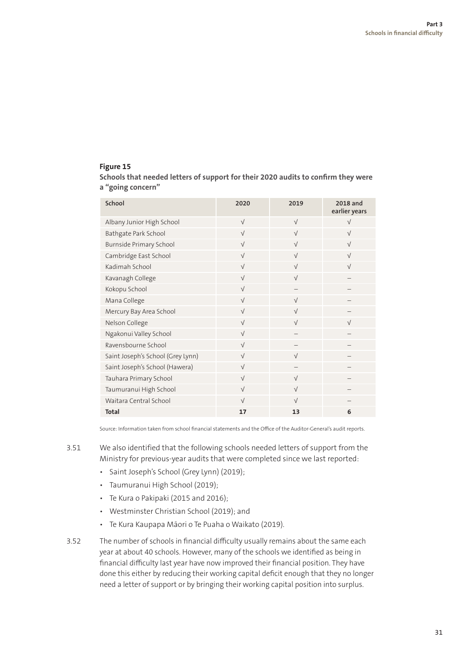#### **Figure 15**

**Schools that needed letters of support for their 2020 audits to confirm they were a "going concern"**

| School                            | 2020       | 2019                     | 2018 and<br>earlier years |
|-----------------------------------|------------|--------------------------|---------------------------|
| Albany Junior High School         | $\sqrt{}$  | $\sqrt{ }$               | $\sqrt{}$                 |
| Bathgate Park School              | $\sqrt{}$  | $\sqrt{}$                | $\sqrt{}$                 |
| <b>Burnside Primary School</b>    | $\sqrt{}$  | $\sqrt{}$                | $\sqrt{}$                 |
| Cambridge East School             | $\sqrt{}$  | $\sqrt{}$                | $\sqrt{}$                 |
| Kadimah School                    | $\sqrt{}$  | $\sqrt{ }$               | $\sqrt{ }$                |
| Kavanagh College                  | $\sqrt{ }$ | $\sqrt{ }$               |                           |
| Kokopu School                     | $\sqrt{}$  |                          |                           |
| Mana College                      | $\sqrt{}$  | $\sqrt{ }$               |                           |
| Mercury Bay Area School           | $\sqrt{}$  | $\sqrt{ }$               |                           |
| Nelson College                    | $\sqrt{}$  | $\sqrt{ }$               | $\sqrt{ }$                |
| Ngakonui Valley School            | $\sqrt{ }$ |                          |                           |
| Ravensbourne School               | $\sqrt{}$  |                          |                           |
| Saint Joseph's School (Grey Lynn) | $\sqrt{}$  | $\sqrt{ }$               |                           |
| Saint Joseph's School (Hawera)    | $\sqrt{}$  | $\overline{\phantom{0}}$ |                           |
| Tauhara Primary School            | $\sqrt{}$  | $\sqrt{}$                |                           |
| Taumuranui High School            | $\sqrt{}$  | $\sqrt{ }$               |                           |
| Waitara Central School            | $\sqrt{}$  | $\sqrt{ }$               |                           |
| <b>Total</b>                      | 17         | 13                       | 6                         |

Source: Information taken from school financial statements and the Office of the Auditor-General's audit reports.

- 3.51 We also identified that the following schools needed letters of support from the Ministry for previous-year audits that were completed since we last reported:
	- Saint Joseph's School (Grey Lynn) (2019);
	- Taumuranui High School (2019);
	- Te Kura o Pakipaki (2015 and 2016);
	- Westminster Christian School (2019); and
	- Te Kura Kaupapa Māori o Te Puaha o Waikato (2019).
- 3.52 The number of schools in financial difficulty usually remains about the same each year at about 40 schools. However, many of the schools we identified as being in financial difficulty last year have now improved their financial position. They have done this either by reducing their working capital deficit enough that they no longer need a letter of support or by bringing their working capital position into surplus.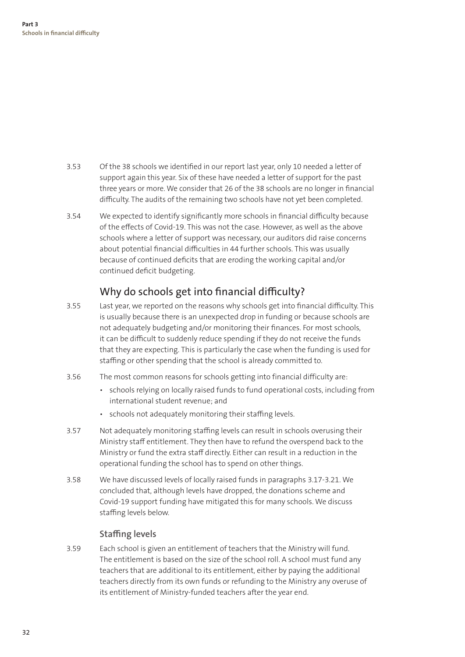- 3.53 Of the 38 schools we identified in our report last year, only 10 needed a letter of support again this year. Six of these have needed a letter of support for the past three years or more. We consider that 26 of the 38 schools are no longer in financial difficulty. The audits of the remaining two schools have not yet been completed.
- 3.54 We expected to identify significantly more schools in financial difficulty because of the effects of Covid-19. This was not the case. However, as well as the above schools where a letter of support was necessary, our auditors did raise concerns about potential financial difficulties in 44 further schools. This was usually because of continued deficits that are eroding the working capital and/or continued deficit budgeting.

#### Why do schools get into financial difficulty?

- 3.55 Last year, we reported on the reasons why schools get into financial difficulty. This is usually because there is an unexpected drop in funding or because schools are not adequately budgeting and/or monitoring their finances. For most schools, it can be difficult to suddenly reduce spending if they do not receive the funds that they are expecting. This is particularly the case when the funding is used for staffing or other spending that the school is already committed to.
- 3.56 The most common reasons for schools getting into financial difficulty are:
	- schools relying on locally raised funds to fund operational costs, including from international student revenue; and
	- schools not adequately monitoring their staffing levels.
- 3.57 Not adequately monitoring staffing levels can result in schools overusing their Ministry staff entitlement. They then have to refund the overspend back to the Ministry or fund the extra staff directly. Either can result in a reduction in the operational funding the school has to spend on other things.
- 3.58 We have discussed levels of locally raised funds in paragraphs 3.17-3.21. We concluded that, although levels have dropped, the donations scheme and Covid-19 support funding have mitigated this for many schools. We discuss staffing levels below.

#### **Staffing levels**

3.59 Each school is given an entitlement of teachers that the Ministry will fund. The entitlement is based on the size of the school roll. A school must fund any teachers that are additional to its entitlement, either by paying the additional teachers directly from its own funds or refunding to the Ministry any overuse of its entitlement of Ministry-funded teachers after the year end.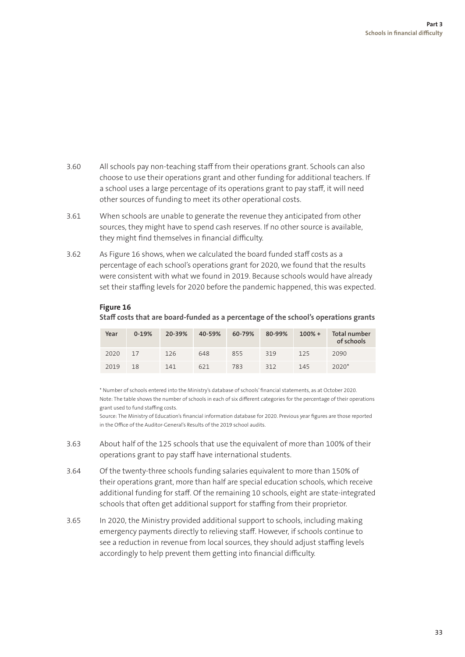- 3.60 All schools pay non-teaching staff from their operations grant. Schools can also choose to use their operations grant and other funding for additional teachers. If a school uses a large percentage of its operations grant to pay staff, it will need other sources of funding to meet its other operational costs.
- 3.61 When schools are unable to generate the revenue they anticipated from other sources, they might have to spend cash reserves. If no other source is available, they might find themselves in financial difficulty.
- 3.62 As Figure 16 shows, when we calculated the board funded staff costs as a percentage of each school's operations grant for 2020, we found that the results were consistent with what we found in 2019. Because schools would have already set their staffing levels for 2020 before the pandemic happened, this was expected.

| Year | $0-19%$ | 20-39% | 40-59% | 60-79% | 80-99% | $100% +$ | Total number<br>of schools |
|------|---------|--------|--------|--------|--------|----------|----------------------------|
| 2020 | 17      | 126    | 648    | 855    | 319    | 125      | 2090                       |
| 2019 | 18      | 141    | 621    | 783    | 312    | 145      | $2020*$                    |

#### **Figure 16**

#### **Staff costs that are board-funded as a percentage of the school's operations grants**

\* Number of schools entered into the Ministry's database of schools' financial statements, as at October 2020. Note: The table shows the number of schools in each of six different categories for the percentage of their operations grant used to fund staffing costs.

Source: The Ministry of Education's financial information database for 2020. Previous year figures are those reported in the Office of the Auditor-General's Results of the 2019 school audits.

- 3.63 About half of the 125 schools that use the equivalent of more than 100% of their operations grant to pay staff have international students.
- 3.64 Of the twenty-three schools funding salaries equivalent to more than 150% of their operations grant, more than half are special education schools, which receive additional funding for staff. Of the remaining 10 schools, eight are state-integrated schools that often get additional support for staffing from their proprietor.
- 3.65 In 2020, the Ministry provided additional support to schools, including making emergency payments directly to relieving staff. However, if schools continue to see a reduction in revenue from local sources, they should adjust staffing levels accordingly to help prevent them getting into financial difficulty.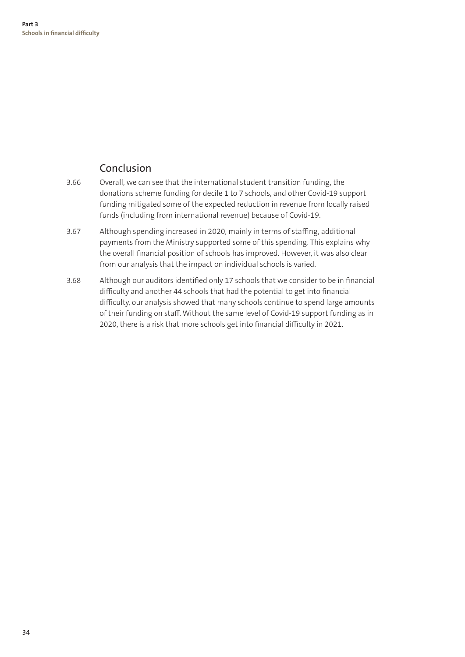#### Conclusion

- 3.66 Overall, we can see that the international student transition funding, the donations scheme funding for decile 1 to 7 schools, and other Covid-19 support funding mitigated some of the expected reduction in revenue from locally raised funds (including from international revenue) because of Covid-19.
- 3.67 Although spending increased in 2020, mainly in terms of staffing, additional payments from the Ministry supported some of this spending. This explains why the overall financial position of schools has improved. However, it was also clear from our analysis that the impact on individual schools is varied.
- 3.68 Although our auditors identified only 17 schools that we consider to be in financial difficulty and another 44 schools that had the potential to get into financial difficulty, our analysis showed that many schools continue to spend large amounts of their funding on staff. Without the same level of Covid-19 support funding as in 2020, there is a risk that more schools get into financial difficulty in 2021.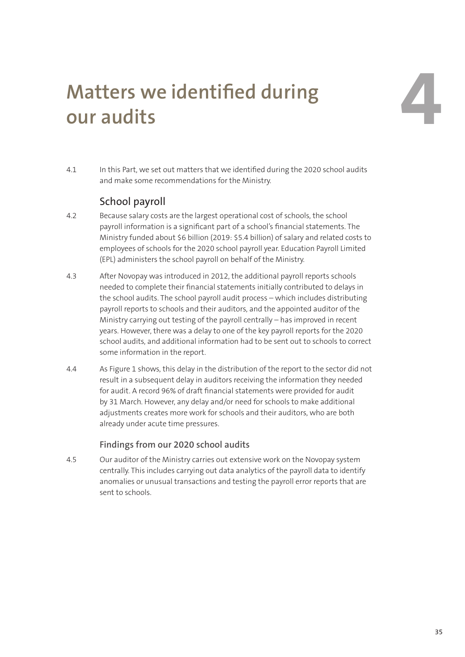### **4 Matters we identified during our audits**

4.1 In this Part, we set out matters that we identified during the 2020 school audits and make some recommendations for the Ministry.

### School payroll

- 4.2 Because salary costs are the largest operational cost of schools, the school payroll information is a significant part of a school's financial statements. The Ministry funded about \$6 billion (2019: \$5.4 billion) of salary and related costs to employees of schools for the 2020 school payroll year. Education Payroll Limited (EPL) administers the school payroll on behalf of the Ministry.
- 4.3 After Novopay was introduced in 2012, the additional payroll reports schools needed to complete their financial statements initially contributed to delays in the school audits. The school payroll audit process – which includes distributing payroll reports to schools and their auditors, and the appointed auditor of the Ministry carrying out testing of the payroll centrally – has improved in recent years. However, there was a delay to one of the key payroll reports for the 2020 school audits, and additional information had to be sent out to schools to correct some information in the report.
- 4.4 As Figure 1 shows, this delay in the distribution of the report to the sector did not result in a subsequent delay in auditors receiving the information they needed for audit. A record 96% of draft financial statements were provided for audit by 31 March. However, any delay and/or need for schools to make additional adjustments creates more work for schools and their auditors, who are both already under acute time pressures.

#### **Findings from our 2020 school audits**

4.5 Our auditor of the Ministry carries out extensive work on the Novopay system centrally. This includes carrying out data analytics of the payroll data to identify anomalies or unusual transactions and testing the payroll error reports that are sent to schools.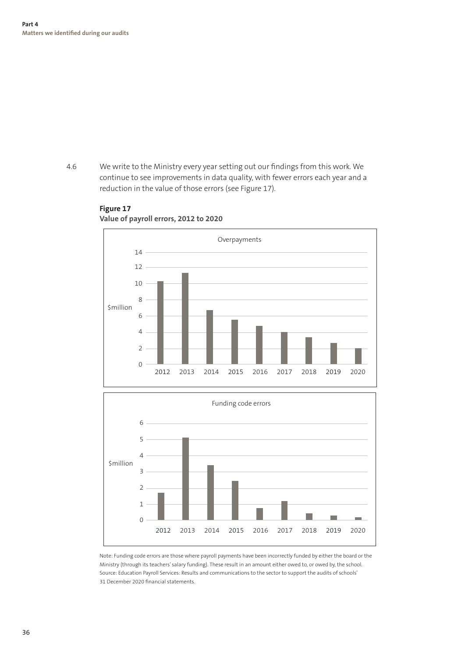4.6 We write to the Ministry every year setting out our findings from this work. We 14 continue to see improvements in data quality, with fewer errors each year and a reduction in the value of those errors (see Figure 17). 10



#### **Figure 17** Value of payroll errors, 2012 to 2020



2 31 December 2020 financial statements.3 Ministry (through its teachers' salary funding). These result in an amount either owed to, or owed by, the school. Note: Funding code errors are those where payroll payments have been incorrectly funded by either the board or the Source: Education Payroll Services: Results and communications to the sector to support the audits of schools'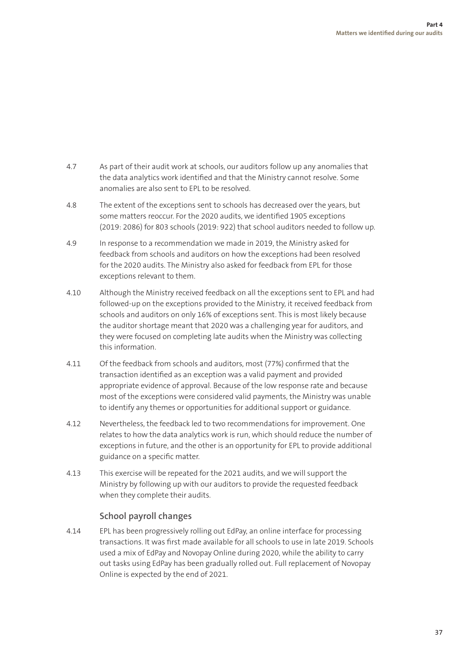- 4.7 As part of their audit work at schools, our auditors follow up any anomalies that the data analytics work identified and that the Ministry cannot resolve. Some anomalies are also sent to EPL to be resolved.
- 4.8 The extent of the exceptions sent to schools has decreased over the years, but some matters reoccur. For the 2020 audits, we identified 1905 exceptions (2019: 2086) for 803 schools (2019: 922) that school auditors needed to follow up.
- 4.9 In response to a recommendation we made in 2019, the Ministry asked for feedback from schools and auditors on how the exceptions had been resolved for the 2020 audits. The Ministry also asked for feedback from EPL for those exceptions relevant to them.
- 4.10 Although the Ministry received feedback on all the exceptions sent to EPL and had followed-up on the exceptions provided to the Ministry, it received feedback from schools and auditors on only 16% of exceptions sent. This is most likely because the auditor shortage meant that 2020 was a challenging year for auditors, and they were focused on completing late audits when the Ministry was collecting this information.
- 4.11 Of the feedback from schools and auditors, most (77%) confirmed that the transaction identified as an exception was a valid payment and provided appropriate evidence of approval. Because of the low response rate and because most of the exceptions were considered valid payments, the Ministry was unable to identify any themes or opportunities for additional support or guidance.
- 4.12 Nevertheless, the feedback led to two recommendations for improvement. One relates to how the data analytics work is run, which should reduce the number of exceptions in future, and the other is an opportunity for EPL to provide additional guidance on a specific matter.
- 4.13 This exercise will be repeated for the 2021 audits, and we will support the Ministry by following up with our auditors to provide the requested feedback when they complete their audits.

#### **School payroll changes**

4.14 EPL has been progressively rolling out EdPay, an online interface for processing transactions. It was first made available for all schools to use in late 2019. Schools used a mix of EdPay and Novopay Online during 2020, while the ability to carry out tasks using EdPay has been gradually rolled out. Full replacement of Novopay Online is expected by the end of 2021.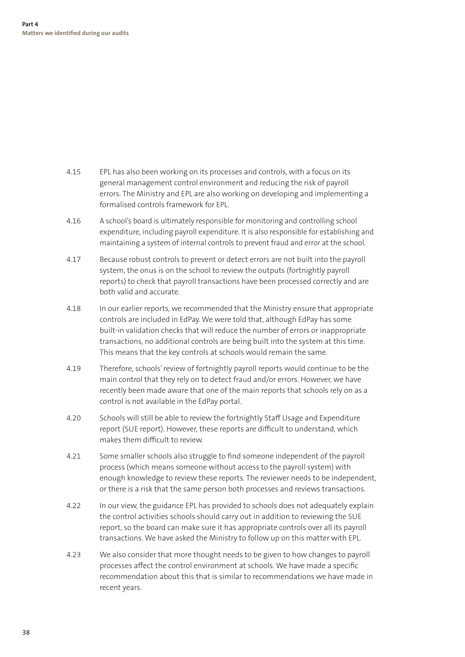- 4.15 EPL has also been working on its processes and controls, with a focus on its general management control environment and reducing the risk of payroll errors. The Ministry and EPL are also working on developing and implementing a formalised controls framework for EPL.
- 4.16 A school's board is ultimately responsible for monitoring and controlling school expenditure, including payroll expenditure. It is also responsible for establishing and maintaining a system of internal controls to prevent fraud and error at the school.
- 4.17 Because robust controls to prevent or detect errors are not built into the payroll system, the onus is on the school to review the outputs (fortnightly payroll reports) to check that payroll transactions have been processed correctly and are both valid and accurate.
- 4.18 In our earlier reports, we recommended that the Ministry ensure that appropriate controls are included in EdPay. We were told that, although EdPay has some built-in validation checks that will reduce the number of errors or inappropriate transactions, no additional controls are being built into the system at this time. This means that the key controls at schools would remain the same.
- 4.19 Therefore, schools' review of fortnightly payroll reports would continue to be the main control that they rely on to detect fraud and/or errors. However, we have recently been made aware that one of the main reports that schools rely on as a control is not available in the EdPay portal.
- 4.20 Schools will still be able to review the fortnightly Staff Usage and Expenditure report (SUE report). However, these reports are difficult to understand, which makes them difficult to review.
- 4.21 Some smaller schools also struggle to find someone independent of the payroll process (which means someone without access to the payroll system) with enough knowledge to review these reports. The reviewer needs to be independent, or there is a risk that the same person both processes and reviews transactions.
- 4.22 In our view, the guidance EPL has provided to schools does not adequately explain the control activities schools should carry out in addition to reviewing the SUE report, so the board can make sure it has appropriate controls over all its payroll transactions. We have asked the Ministry to follow up on this matter with EPL.
- 4.23 We also consider that more thought needs to be given to how changes to payroll processes affect the control environment at schools. We have made a specific recommendation about this that is similar to recommendations we have made in recent years.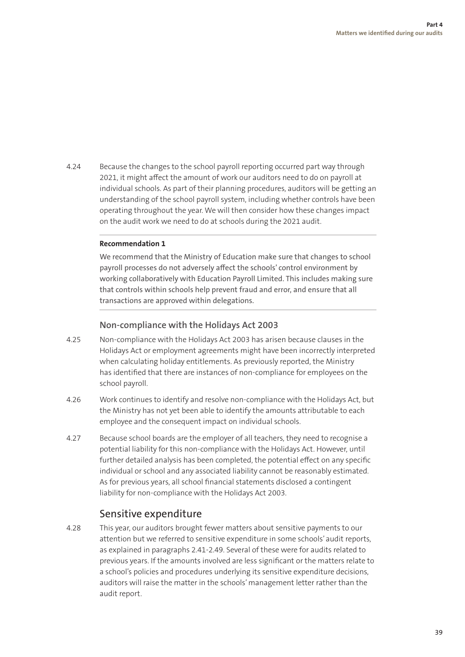4.24 Because the changes to the school payroll reporting occurred part way through 2021, it might affect the amount of work our auditors need to do on payroll at individual schools. As part of their planning procedures, auditors will be getting an understanding of the school payroll system, including whether controls have been operating throughout the year. We will then consider how these changes impact on the audit work we need to do at schools during the 2021 audit.

#### **Recommendation 1**

We recommend that the Ministry of Education make sure that changes to school payroll processes do not adversely affect the schools' control environment by working collaboratively with Education Payroll Limited. This includes making sure that controls within schools help prevent fraud and error, and ensure that all transactions are approved within delegations.

#### **Non-compliance with the Holidays Act 2003**

- 4.25 Non-compliance with the Holidays Act 2003 has arisen because clauses in the Holidays Act or employment agreements might have been incorrectly interpreted when calculating holiday entitlements. As previously reported, the Ministry has identified that there are instances of non-compliance for employees on the school payroll.
- 4.26 Work continues to identify and resolve non-compliance with the Holidays Act, but the Ministry has not yet been able to identify the amounts attributable to each employee and the consequent impact on individual schools.
- 4.27 Because school boards are the employer of all teachers, they need to recognise a potential liability for this non-compliance with the Holidays Act. However, until further detailed analysis has been completed, the potential effect on any specific individual or school and any associated liability cannot be reasonably estimated. As for previous years, all school financial statements disclosed a contingent liability for non-compliance with the Holidays Act 2003.

#### Sensitive expenditure

4.28 This year, our auditors brought fewer matters about sensitive payments to our attention but we referred to sensitive expenditure in some schools' audit reports, as explained in paragraphs 2.41-2.49. Several of these were for audits related to previous years. If the amounts involved are less significant or the matters relate to a school's policies and procedures underlying its sensitive expenditure decisions, auditors will raise the matter in the schools' management letter rather than the audit report.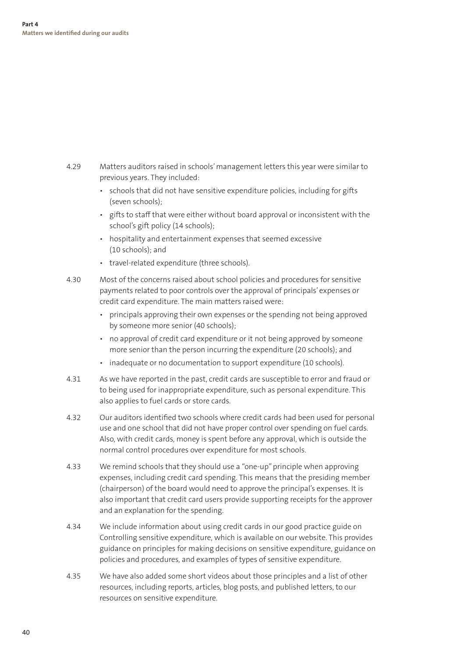- 4.29 Matters auditors raised in schools' management letters this year were similar to previous years. They included:
	- schools that did not have sensitive expenditure policies, including for gifts (seven schools);
	- gifts to staff that were either without board approval or inconsistent with the school's gift policy (14 schools);
	- hospitality and entertainment expenses that seemed excessive (10 schools); and
	- travel-related expenditure (three schools).
- 4.30 Most of the concerns raised about school policies and procedures for sensitive payments related to poor controls over the approval of principals' expenses or credit card expenditure. The main matters raised were:
	- principals approving their own expenses or the spending not being approved by someone more senior (40 schools);
	- no approval of credit card expenditure or it not being approved by someone more senior than the person incurring the expenditure (20 schools); and
	- inadequate or no documentation to support expenditure (10 schools).
- 4.31 As we have reported in the past, credit cards are susceptible to error and fraud or to being used for inappropriate expenditure, such as personal expenditure. This also applies to fuel cards or store cards.
- 4.32 Our auditors identified two schools where credit cards had been used for personal use and one school that did not have proper control over spending on fuel cards. Also, with credit cards, money is spent before any approval, which is outside the normal control procedures over expenditure for most schools.
- 4.33 We remind schools that they should use a "one-up" principle when approving expenses, including credit card spending. This means that the presiding member (chairperson) of the board would need to approve the principal's expenses. It is also important that credit card users provide supporting receipts for the approver and an explanation for the spending.
- 4.34 We include information about using credit cards in our good practice guide on Controlling sensitive expenditure, which is available on our website. This provides guidance on principles for making decisions on sensitive expenditure, guidance on policies and procedures, and examples of types of sensitive expenditure.
- 4.35 We have also added some short videos about those principles and a list of other resources, including reports, articles, blog posts, and published letters, to our resources on sensitive expenditure.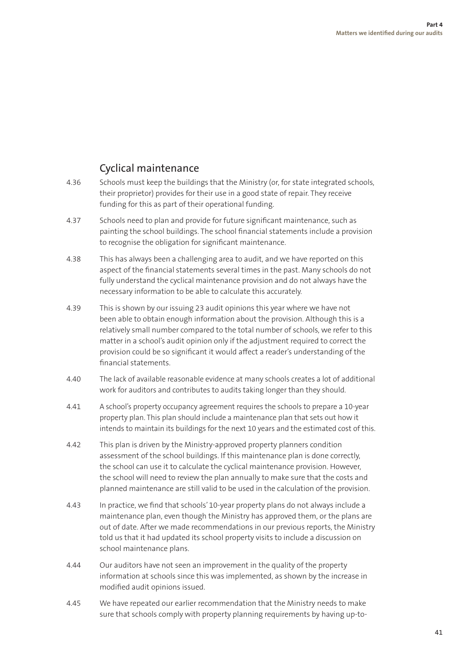### Cyclical maintenance

- 4.36 Schools must keep the buildings that the Ministry (or, for state integrated schools, their proprietor) provides for their use in a good state of repair. They receive funding for this as part of their operational funding.
- 4.37 Schools need to plan and provide for future significant maintenance, such as painting the school buildings. The school financial statements include a provision to recognise the obligation for significant maintenance.
- 4.38 This has always been a challenging area to audit, and we have reported on this aspect of the financial statements several times in the past. Many schools do not fully understand the cyclical maintenance provision and do not always have the necessary information to be able to calculate this accurately.
- 4.39 This is shown by our issuing 23 audit opinions this year where we have not been able to obtain enough information about the provision. Although this is a relatively small number compared to the total number of schools, we refer to this matter in a school's audit opinion only if the adjustment required to correct the provision could be so significant it would affect a reader's understanding of the financial statements.
- 4.40 The lack of available reasonable evidence at many schools creates a lot of additional work for auditors and contributes to audits taking longer than they should.
- 4.41 A school's property occupancy agreement requires the schools to prepare a 10-year property plan. This plan should include a maintenance plan that sets out how it intends to maintain its buildings for the next 10 years and the estimated cost of this.
- 4.42 This plan is driven by the Ministry-approved property planners condition assessment of the school buildings. If this maintenance plan is done correctly, the school can use it to calculate the cyclical maintenance provision. However, the school will need to review the plan annually to make sure that the costs and planned maintenance are still valid to be used in the calculation of the provision.
- 4.43 In practice, we find that schools' 10-year property plans do not always include a maintenance plan, even though the Ministry has approved them, or the plans are out of date. After we made recommendations in our previous reports, the Ministry told us that it had updated its school property visits to include a discussion on school maintenance plans.
- 4.44 Our auditors have not seen an improvement in the quality of the property information at schools since this was implemented, as shown by the increase in modified audit opinions issued.
- 4.45 We have repeated our earlier recommendation that the Ministry needs to make sure that schools comply with property planning requirements by having up-to-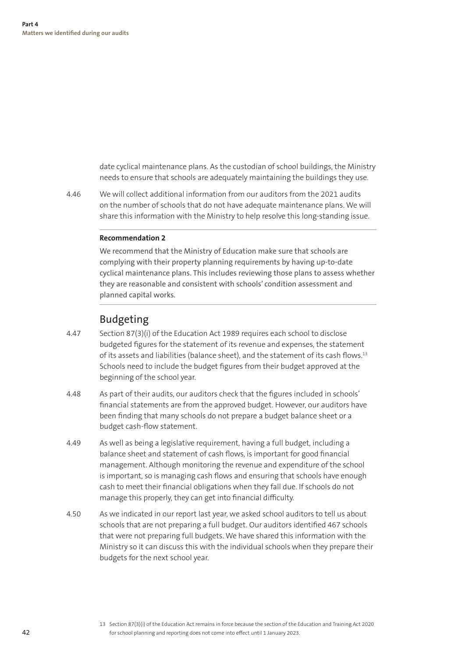date cyclical maintenance plans. As the custodian of school buildings, the Ministry needs to ensure that schools are adequately maintaining the buildings they use.

4.46 We will collect additional information from our auditors from the 2021 audits on the number of schools that do not have adequate maintenance plans. We will share this information with the Ministry to help resolve this long-standing issue.

#### **Recommendation 2**

We recommend that the Ministry of Education make sure that schools are complying with their property planning requirements by having up-to-date cyclical maintenance plans. This includes reviewing those plans to assess whether they are reasonable and consistent with schools' condition assessment and planned capital works.

#### Budgeting

- 4.47 Section 87(3)(i) of the Education Act 1989 requires each school to disclose budgeted figures for the statement of its revenue and expenses, the statement of its assets and liabilities (balance sheet), and the statement of its cash flows.13 Schools need to include the budget figures from their budget approved at the beginning of the school year.
- 4.48 As part of their audits, our auditors check that the figures included in schools' financial statements are from the approved budget. However, our auditors have been finding that many schools do not prepare a budget balance sheet or a budget cash-flow statement.
- 4.49 As well as being a legislative requirement, having a full budget, including a balance sheet and statement of cash flows, is important for good financial management. Although monitoring the revenue and expenditure of the school is important, so is managing cash flows and ensuring that schools have enough cash to meet their financial obligations when they fall due. If schools do not manage this properly, they can get into financial difficulty.
- 4.50 As we indicated in our report last year, we asked school auditors to tell us about schools that are not preparing a full budget. Our auditors identified 467 schools that were not preparing full budgets. We have shared this information with the Ministry so it can discuss this with the individual schools when they prepare their budgets for the next school year.

<sup>13</sup> Section 87(3)(i) of the Education Act remains in force because the section of the Education and Training Act 2020 for school planning and reporting does not come into effect until 1 January 2023.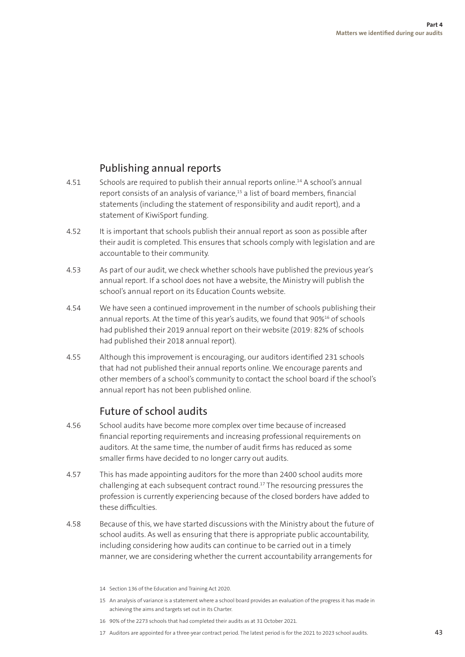#### Publishing annual reports

- 4.51 Schools are required to publish their annual reports online.14 A school's annual report consists of an analysis of variance,15 a list of board members, financial statements (including the statement of responsibility and audit report), and a statement of KiwiSport funding.
- 4.52 It is important that schools publish their annual report as soon as possible after their audit is completed. This ensures that schools comply with legislation and are accountable to their community.
- 4.53 As part of our audit, we check whether schools have published the previous year's annual report. If a school does not have a website, the Ministry will publish the school's annual report on its Education Counts website.
- 4.54 We have seen a continued improvement in the number of schools publishing their annual reports. At the time of this year's audits, we found that 90%<sup>16</sup> of schools had published their 2019 annual report on their website (2019: 82% of schools had published their 2018 annual report).
- 4.55 Although this improvement is encouraging, our auditors identified 231 schools that had not published their annual reports online. We encourage parents and other members of a school's community to contact the school board if the school's annual report has not been published online.

#### Future of school audits

- 4.56 School audits have become more complex over time because of increased financial reporting requirements and increasing professional requirements on auditors. At the same time, the number of audit firms has reduced as some smaller firms have decided to no longer carry out audits.
- 4.57 This has made appointing auditors for the more than 2400 school audits more challenging at each subsequent contract round.17 The resourcing pressures the profession is currently experiencing because of the closed borders have added to these difficulties.
- 4.58 Because of this, we have started discussions with the Ministry about the future of school audits. As well as ensuring that there is appropriate public accountability, including considering how audits can continue to be carried out in a timely manner, we are considering whether the current accountability arrangements for
	- 14 Section 136 of the Education and Training Act 2020.
	- 15 An analysis of variance is a statement where a school board provides an evaluation of the progress it has made in achieving the aims and targets set out in its Charter.
	- 16 90% of the 2273 schools that had completed their audits as at 31 October 2021.
	- 17 Auditors are appointed for a three-year contract period. The latest period is for the 2021 to 2023 school audits.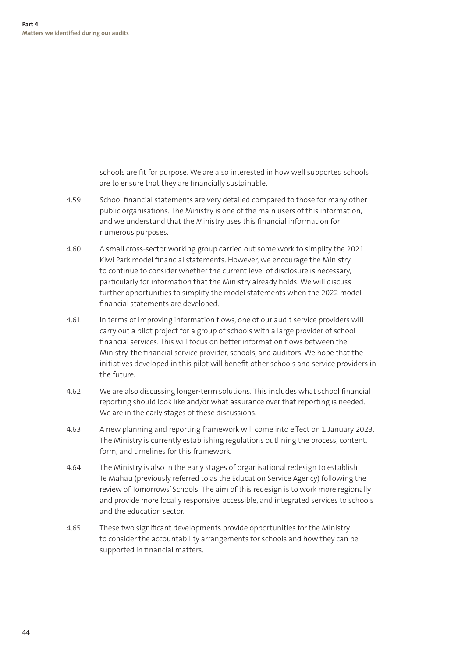schools are fit for purpose. We are also interested in how well supported schools are to ensure that they are financially sustainable.

- 4.59 School financial statements are very detailed compared to those for many other public organisations. The Ministry is one of the main users of this information, and we understand that the Ministry uses this financial information for numerous purposes.
- 4.60 A small cross-sector working group carried out some work to simplify the 2021 Kiwi Park model financial statements. However, we encourage the Ministry to continue to consider whether the current level of disclosure is necessary, particularly for information that the Ministry already holds. We will discuss further opportunities to simplify the model statements when the 2022 model financial statements are developed.
- 4.61 In terms of improving information flows, one of our audit service providers will carry out a pilot project for a group of schools with a large provider of school financial services. This will focus on better information flows between the Ministry, the financial service provider, schools, and auditors. We hope that the initiatives developed in this pilot will benefit other schools and service providers in the future.
- 4.62 We are also discussing longer-term solutions. This includes what school financial reporting should look like and/or what assurance over that reporting is needed. We are in the early stages of these discussions.
- 4.63 A new planning and reporting framework will come into effect on 1 January 2023. The Ministry is currently establishing regulations outlining the process, content, form, and timelines for this framework.
- 4.64 The Ministry is also in the early stages of organisational redesign to establish Te Mahau (previously referred to as the Education Service Agency) following the review of Tomorrows' Schools. The aim of this redesign is to work more regionally and provide more locally responsive, accessible, and integrated services to schools and the education sector.
- 4.65 These two significant developments provide opportunities for the Ministry to consider the accountability arrangements for schools and how they can be supported in financial matters.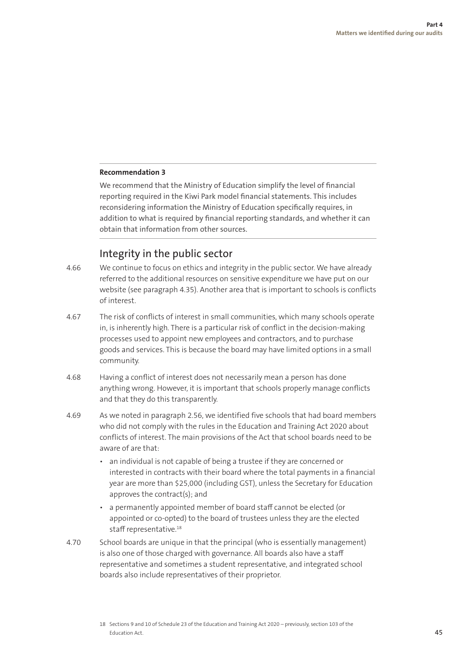#### **Recommendation 3**

We recommend that the Ministry of Education simplify the level of financial reporting required in the Kiwi Park model financial statements. This includes reconsidering information the Ministry of Education specifically requires, in addition to what is required by financial reporting standards, and whether it can obtain that information from other sources.

#### Integrity in the public sector

- 4.66 We continue to focus on ethics and integrity in the public sector. We have already referred to the additional resources on sensitive expenditure we have put on our website (see paragraph 4.35). Another area that is important to schools is conflicts of interest.
- 4.67 The risk of conflicts of interest in small communities, which many schools operate in, is inherently high. There is a particular risk of conflict in the decision-making processes used to appoint new employees and contractors, and to purchase goods and services. This is because the board may have limited options in a small community.
- 4.68 Having a conflict of interest does not necessarily mean a person has done anything wrong. However, it is important that schools properly manage conflicts and that they do this transparently.
- 4.69 As we noted in paragraph 2.56, we identified five schools that had board members who did not comply with the rules in the Education and Training Act 2020 about conflicts of interest. The main provisions of the Act that school boards need to be aware of are that:
	- an individual is not capable of being a trustee if they are concerned or interested in contracts with their board where the total payments in a financial year are more than \$25,000 (including GST), unless the Secretary for Education approves the contract(s); and
	- a permanently appointed member of board staff cannot be elected (or appointed or co-opted) to the board of trustees unless they are the elected staff representative.<sup>18</sup>
- 4.70 School boards are unique in that the principal (who is essentially management) is also one of those charged with governance. All boards also have a staff representative and sometimes a student representative, and integrated school boards also include representatives of their proprietor.

<sup>18</sup> Sections 9 and 10 of Schedule 23 of the Education and Training Act 2020 – previously, section 103 of the Education Act.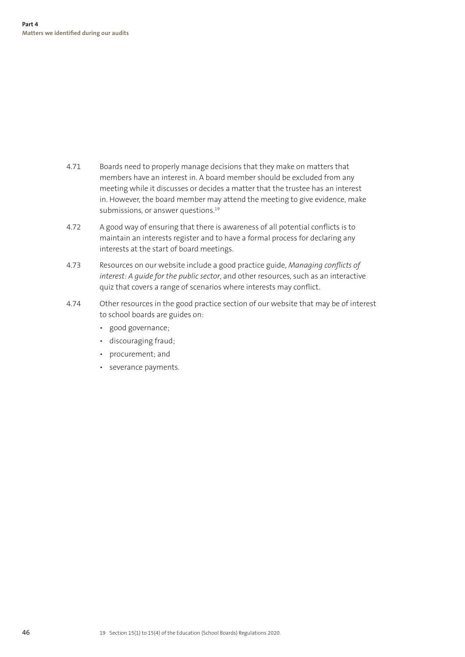- 4.71 Boards need to properly manage decisions that they make on matters that members have an interest in. A board member should be excluded from any meeting while it discusses or decides a matter that the trustee has an interest in. However, the board member may attend the meeting to give evidence, make submissions, or answer questions.<sup>19</sup>
- 4.72 A good way of ensuring that there is awareness of all potential conflicts is to maintain an interests register and to have a formal process for declaring any interests at the start of board meetings.
- 4.73 Resources on our website include a good practice guide, *Managing conflicts of interest: A guide for the public sector*, and other resources, such as an interactive quiz that covers a range of scenarios where interests may conflict.
- 4.74 Other resources in the good practice section of our website that may be of interest to school boards are guides on:
	- good governance;
	- discouraging fraud;
	- procurement; and
	- severance payments.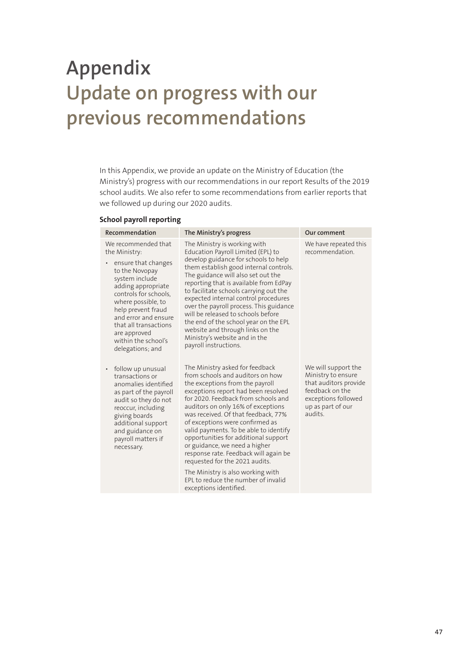# **Appendix Update on progress with our previous recommendations**

In this Appendix, we provide an update on the Ministry of Education (the Ministry's) progress with our recommendations in our report Results of the 2019 school audits. We also refer to some recommendations from earlier reports that we followed up during our 2020 audits.

#### **School payroll reporting**

| Recommendation                                                                                                                                                                                                                                                                                              | The Ministry's progress                                                                                                                                                                                                                                                                                                                                                                                                                                                                                                                                                                                  | Our comment                                                                                                                                 |
|-------------------------------------------------------------------------------------------------------------------------------------------------------------------------------------------------------------------------------------------------------------------------------------------------------------|----------------------------------------------------------------------------------------------------------------------------------------------------------------------------------------------------------------------------------------------------------------------------------------------------------------------------------------------------------------------------------------------------------------------------------------------------------------------------------------------------------------------------------------------------------------------------------------------------------|---------------------------------------------------------------------------------------------------------------------------------------------|
| We recommended that<br>the Ministry:<br>ensure that changes<br>٠<br>to the Novopay<br>system include<br>adding appropriate<br>controls for schools,<br>where possible, to<br>help prevent fraud<br>and error and ensure<br>that all transactions<br>are approved<br>within the school's<br>delegations; and | The Ministry is working with<br>Education Payroll Limited (EPL) to<br>develop guidance for schools to help<br>them establish good internal controls.<br>The guidance will also set out the<br>reporting that is available from EdPay<br>to facilitate schools carrying out the<br>expected internal control procedures<br>over the payroll process. This guidance<br>will be released to schools before<br>the end of the school year on the EPL<br>website and through links on the<br>Ministry's website and in the<br>payroll instructions.                                                           | We have repeated this<br>recommendation.                                                                                                    |
| follow up unusual<br>٠<br>transactions or<br>anomalies identified<br>as part of the payroll<br>audit so they do not<br>reoccur, including<br>giving boards<br>additional support<br>and guidance on<br>payroll matters if<br>necessary.                                                                     | The Ministry asked for feedback<br>from schools and auditors on how<br>the exceptions from the payroll<br>exceptions report had been resolved<br>for 2020. Feedback from schools and<br>auditors on only 16% of exceptions<br>was received. Of that feedback, 77%<br>of exceptions were confirmed as<br>valid payments. To be able to identify<br>opportunities for additional support<br>or guidance, we need a higher<br>response rate. Feedback will again be<br>requested for the 2021 audits.<br>The Ministry is also working with<br>EPL to reduce the number of invalid<br>exceptions identified. | We will support the<br>Ministry to ensure<br>that auditors provide<br>feedback on the<br>exceptions followed<br>up as part of our<br>audits |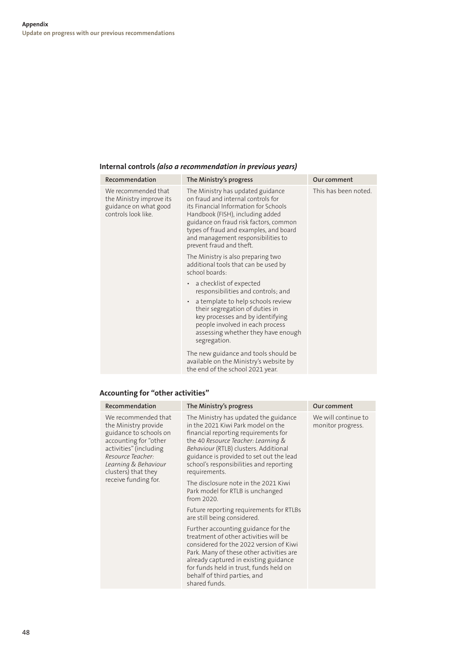#### **Internal controls** *(also a recommendation in previous years)*

| Recommendation                                                                                  | The Ministry's progress                                                                                                                                                                                                                                                                                    | Our comment          |
|-------------------------------------------------------------------------------------------------|------------------------------------------------------------------------------------------------------------------------------------------------------------------------------------------------------------------------------------------------------------------------------------------------------------|----------------------|
| We recommended that<br>the Ministry improve its<br>guidance on what good<br>controls look like. | The Ministry has updated guidance<br>on fraud and internal controls for<br>its Financial Information for Schools<br>Handbook (FISH), including added<br>guidance on fraud risk factors, common<br>types of fraud and examples, and board<br>and management responsibilities to<br>prevent fraud and theft. | This has been noted. |
|                                                                                                 | The Ministry is also preparing two<br>additional tools that can be used by<br>school boards:                                                                                                                                                                                                               |                      |
|                                                                                                 | a checklist of expected<br>$\bullet$<br>responsibilities and controls; and                                                                                                                                                                                                                                 |                      |
|                                                                                                 | a template to help schools review<br>$\bullet$<br>their segregation of duties in<br>key processes and by identifying<br>people involved in each process<br>assessing whether they have enough<br>segregation.                                                                                              |                      |
|                                                                                                 | The new guidance and tools should be<br>available on the Ministry's website by<br>the end of the school 2021 year.                                                                                                                                                                                         |                      |

#### **Accounting for "other activities"**

| Recommendation                                                                                                                                                                                                       | The Ministry's progress                                                                                                                                                                                                                                                                                     | Our comment                              |
|----------------------------------------------------------------------------------------------------------------------------------------------------------------------------------------------------------------------|-------------------------------------------------------------------------------------------------------------------------------------------------------------------------------------------------------------------------------------------------------------------------------------------------------------|------------------------------------------|
| We recommended that<br>the Ministry provide<br>guidance to schools on<br>accounting for "other<br>activities" (including<br>Resource Teacher:<br>Learning & Behaviour<br>clusters) that they<br>receive funding for. | The Ministry has updated the guidance<br>in the 2021 Kiwi Park model on the<br>financial reporting requirements for<br>the 40 Resource Teacher: Learning &<br>Behaviour (RTLB) clusters. Additional<br>guidance is provided to set out the lead<br>school's responsibilities and reporting<br>requirements. | We will continue to<br>monitor progress. |
|                                                                                                                                                                                                                      | The disclosure note in the 2021 Kiwi<br>Park model for RTLB is unchanged<br>from 2020.                                                                                                                                                                                                                      |                                          |
|                                                                                                                                                                                                                      | Future reporting requirements for RTLBs<br>are still being considered.                                                                                                                                                                                                                                      |                                          |
|                                                                                                                                                                                                                      | Further accounting guidance for the<br>treatment of other activities will be<br>considered for the 2022 version of Kiwi<br>Park. Many of these other activities are<br>already captured in existing guidance<br>for funds held in trust, funds held on<br>behalf of third parties, and<br>shared funds.     |                                          |